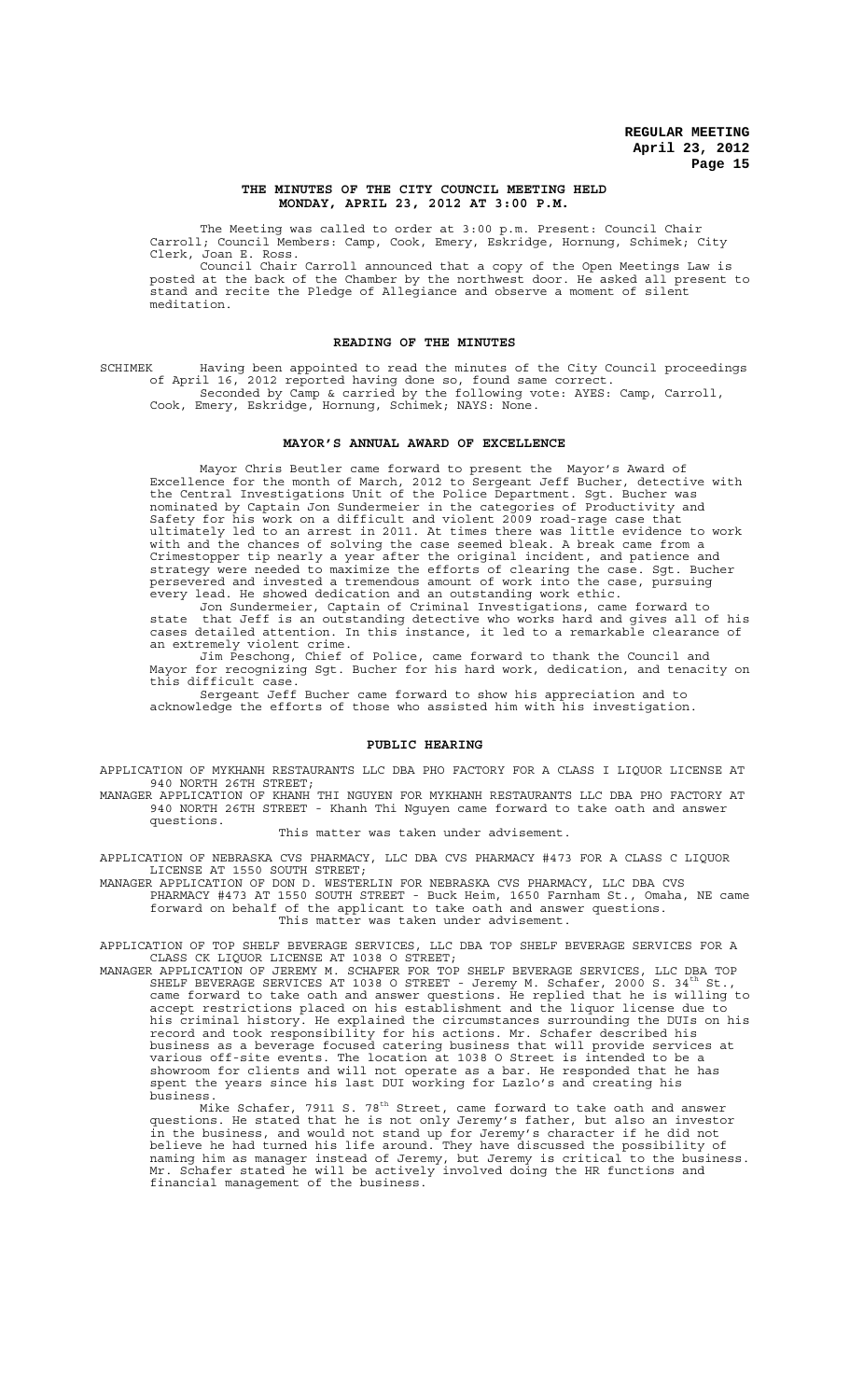#### **THE MINUTES OF THE CITY COUNCIL MEETING HELD MONDAY, APRIL 23, 2012 AT 3:00 P.M.**

The Meeting was called to order at 3:00 p.m. Present: Council Chair Carroll; Council Members: Camp, Cook, Emery, Eskridge, Hornung, Schimek; City Clerk, Joan E. Ross.

Council Chair Carroll announced that a copy of the Open Meetings Law is posted at the back of the Chamber by the northwest door. He asked all present to stand and recite the Pledge of Allegiance and observe a moment of silent meditation.

#### **READING OF THE MINUTES**

SCHIMEK Having been appointed to read the minutes of the City Council proceedings of April 16, 2012 reported having done so, found same correct. Seconded by Camp & carried by the following vote: AYES: Camp, Carroll, Cook, Emery, Eskridge, Hornung, Schimek; NAYS: None.

## **MAYOR'S ANNUAL AWARD OF EXCELLENCE**

Mayor Chris Beutler came forward to present the Mayor's Award of Excellence for the month of March, 2012 to Sergeant Jeff Bucher, detective with the Central Investigations Unit of the Police Department. Sgt. Bucher was nominated by Captain Jon Sundermeier in the categories of Productivity and Safety for his work on a difficult and violent 2009 road-rage case that ultimately led to an arrest in 2011. At times there was little evidence to work with and the chances of solving the case seemed bleak. A break came from a Crimestopper tip nearly a year after the original incident, and patience and strategy were needed to maximize the efforts of clearing the case. Sgt. Bucher persevered and invested a tremendous amount of work into the case, pursuing every lead. He showed dedication and an outstanding work ethic.

Jon Sundermeier, Captain of Criminal Investigations, came forward to state that Jeff is an outstanding detective who works hard and gives all of his cases detailed attention. In this instance, it led to a remarkable clearance of an extremely violent crime.

Jim Peschong, Chief of Police, came forward to thank the Council and Mayor for recognizing Sgt. Bucher for his hard work, dedication, and tenacity on this difficult case.

Sergeant Jeff Bucher came forward to show his appreciation and to acknowledge the efforts of those who assisted him with his investigation.

## **PUBLIC HEARING**

APPLICATION OF MYKHANH RESTAURANTS LLC DBA PHO FACTORY FOR A CLASS I LIQUOR LICENSE AT 940 NORTH 26TH STREET;

MANAGER APPLICATION OF KHANH THI NGUYEN FOR MYKHANH RESTAURANTS LLC DBA PHO FACTORY AT 940 NORTH 26TH STREET - Khanh Thi Nguyen came forward to take oath and answer questions.

This matter was taken under advisement.

APPLICATION OF NEBRASKA CVS PHARMACY, LLC DBA CVS PHARMACY #473 FOR A CLASS C LIQUOR LICENSE AT 1550 SOUTH STREET;

MANAGER APPLICATION OF DON D. WESTERLIN FOR NEBRASKA CVS PHARMACY, LLC DBA CVS PHARMACY #473 AT 1550 SOUTH STREET - Buck Heim, 1650 Farnham St., Omaha, NE came forward on behalf of the applicant to take oath and answer questions. This matter was taken under advisement.

APPLICATION OF TOP SHELF BEVERAGE SERVICES, LLC DBA TOP SHELF BEVERAGE SERVICES FOR A CLASS CK LIQUOR LICENSE AT 1038 O STREET;

MANAGER APPLICATION OF JEREMY M. SCHAFER FOR TOP SHELF BEVERAGE SERVICES, LLC DBA TOP SHELF BEVERAGE SERVICES AT 1038 O STREET - Jeremy M. Schafer, 2000 S. 34 $^{\rm th}$  St., came forward to take oath and answer questions. He replied that he is willing to accept restrictions placed on his establishment and the liquor license due to his criminal history. He explained the circumstances surrounding the DUIs on his record and took responsibility for his actions. Mr. Schafer described his business as a beverage focused catering business that will provide services at various off-site events. The location at 1038 O Street is intended to be a showroom for clients and will not operate as a bar. He responded that he has spent the years since his last DUI working for Lazlo's and creating his business. Mike Schafer, 7911 S. 78th Street, came forward to take oath and answer

questions. He stated that he is not only Jeremy's father, but also an investor in the business, and would not stand up for Jeremy's character if he did not believe he had turned his life around. They have discussed the possibility of naming him as manager instead of Jeremy, but Jeremy is critical to the business. Mr. Schafer stated he will be actively involved doing the HR functions and financial management of the business.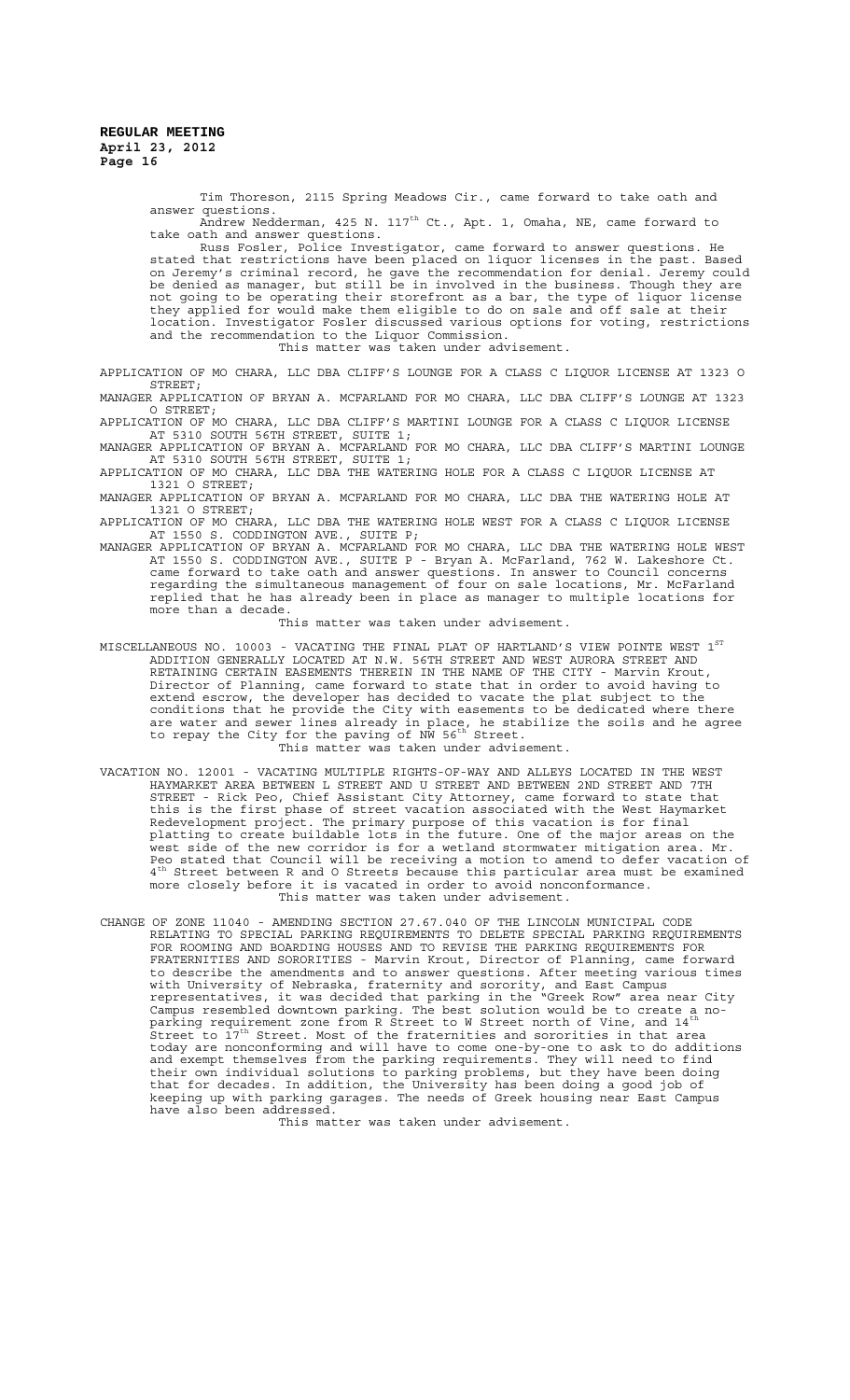> Tim Thoreson, 2115 Spring Meadows Cir., came forward to take oath and answer questions.

> questions.<br>Andrew Nedderman, 425 N. 117<sup>th</sup> Ct., Apt. 1, Omaha, NE, came forward to take oath and answer questions.

Russ Fosler, Police Investigator, came forward to answer questions. He stated that restrictions have been placed on liquor licenses in the past. Based on Jeremy's criminal record, he gave the recommendation for denial. Jeremy could be denied as manager, but still be in involved in the business. Though they are not going to be operating their storefront as a bar, the type of liquor license they applied for would make them eligible to do on sale and off sale at their location. Investigator Fosler discussed various options for voting, restrictions and the recommendation to the Liquor Commission. This matter was taken under advisement.

APPLICATION OF MO CHARA, LLC DBA CLIFF'S LOUNGE FOR A CLASS C LIQUOR LICENSE AT 1323 O STREET ·

MANAGER APPLICATION OF BRYAN A. MCFARLAND FOR MO CHARA, LLC DBA CLIFF'S LOUNGE AT 1323 O STREET;

APPLICATION OF MO CHARA, LLC DBA CLIFF'S MARTINI LOUNGE FOR A CLASS C LIQUOR LICENSE AT 5310 SOUTH 56TH STREET, SUITE 1;

MANAGER APPLICATION OF BRYAN A. MCFARLAND FOR MO CHARA, LLC DBA CLIFF'S MARTINI LOUNGE AT 5310 SOUTH 56TH STREET, SUITE 1;

APPLICATION OF MO CHARA, LLC DBA THE WATERING HOLE FOR A CLASS C LIQUOR LICENSE AT 1321 O STREET;

MANAGER APPLICATION OF BRYAN A. MCFARLAND FOR MO CHARA, LLC DBA THE WATERING HOLE AT 1321 O STREET;

APPLICATION OF MO CHARA, LLC DBA THE WATERING HOLE WEST FOR A CLASS C LIQUOR LICENSE AT 1550 S. CODDINGTON AVE., SUITE P;

MANAGER APPLICATION OF BRYAN A. MCFARLAND FOR MO CHARA, LLC DBA THE WATERING HOLE WEST AT 1550 S. CODDINGTON AVE., SUITE P - Bryan A. McFarland, 762 W. Lakeshore Ct. came forward to take oath and answer questions. In answer to Council concerns regarding the simultaneous management of four on sale locations, Mr. McFarland replied that he has already been in place as manager to multiple locations for more than a decade.

This matter was taken under advisement.

MISCELLANEOUS NO. 10003 - VACATING THE FINAL PLAT OF HARTLAND'S VIEW POINTE WEST  $1^{\mathrm{ST}}$ ADDITION GENERALLY LOCATED AT N.W. 56TH STREET AND WEST AURORA STREET AND RETAINING CERTAIN EASEMENTS THEREIN IN THE NAME OF THE CITY - Marvin Krout, Director of Planning, came forward to state that in order to avoid having to extend escrow, the developer has decided to vacate the plat subject to the conditions that he provide the City with easements to be dedicated where there are water and sewer lines already in place, he stabilize the soils and he agree<br>to repay the City for the paving of NW 56<sup>th</sup> Street. This matter was taken under advisement.

VACATION NO. 12001 - VACATING MULTIPLE RIGHTS-OF-WAY AND ALLEYS LOCATED IN THE WEST HAYMARKET AREA BETWEEN L STREET AND U STREET AND BETWEEN 2ND STREET AND 7TH STREET - Rick Peo, Chief Assistant City Attorney, came forward to state that this is the first phase of street vacation associated with the West Haymarket Redevelopment project. The primary purpose of this vacation is for final platting to create buildable lots in the future. One of the major areas on the west side of the new corridor is for a wetland stormwater mitigation area. Mr. Peo stated that Council will be receiving a motion to amend to defer vacation of  $4^{\text{th}}$  Street between R and O Streets because this particular area must be examined more closely before it is vacated in order to avoid nonconformance. This matter was taken under advisement.

CHANGE OF ZONE 11040 - AMENDING SECTION 27.67.040 OF THE LINCOLN MUNICIPAL CODE RELATING TO SPECIAL PARKING REQUIREMENTS TO DELETE SPECIAL PARKING REQUIREMENTS FOR ROOMING AND BOARDING HOUSES AND TO REVISE THE PARKING REQUIREMENTS FOR FRATERNITIES AND SORORITIES - Marvin Krout, Director of Planning, came forward to describe the amendments and to answer questions. After meeting various times with University of Nebraska, fraternity and sorority, and East Campus representatives, it was decided that parking in the "Greek Row" area near City Campus resembled downtown parking. The best solution would be to create a no-<br>parking requirement zone from R Street to W Street north of Vine, and 14<sup>th</sup>  $\mathbf{\hat{i}}$ street to  $\mathbf{\hat{i}}$   $\mathbf{\hat{r}}^{\text{th}}$  Street. Most of the fraternities and sororities in that area today are nonconforming and will have to come one-by-one to ask to do additions and exempt themselves from the parking requirements. They will need to find their own individual solutions to parking problems, but they have been doing that for decades. In addition, the University has been doing a good job of keeping up with parking garages. The needs of Greek housing near East Campus have also been addressed.

This matter was taken under advisement.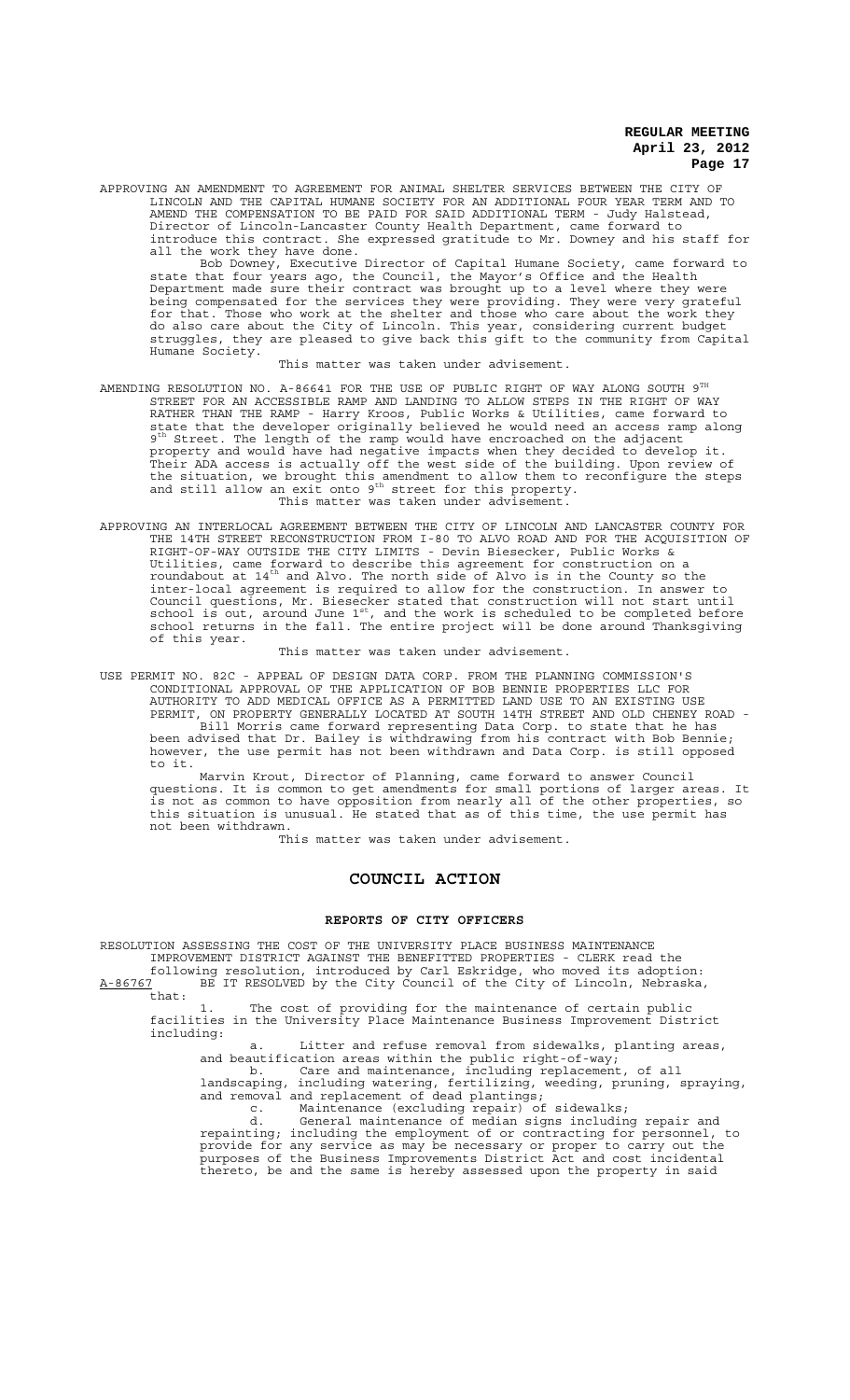APPROVING AN AMENDMENT TO AGREEMENT FOR ANIMAL SHELTER SERVICES BETWEEN THE CITY OF LINCOLN AND THE CAPITAL HUMANE SOCIETY FOR AN ADDITIONAL FOUR YEAR TERM AND TO AMEND THE COMPENSATION TO BE PAID FOR SAID ADDITIONAL TERM - Judy Halstead, Director of Lincoln-Lancaster County Health Department, came forward to introduce this contract. She expressed gratitude to Mr. Downey and his staff for all the work they have done.

Bob Downey, Executive Director of Capital Humane Society, came forward to state that four years ago, the Council, the Mayor's Office and the Health Department made sure their contract was brought up to a level where they were being compensated for the services they were providing. They were very grateful for that. Those who work at the shelter and those who care about the work they do also care about the City of Lincoln. This year, considering current budget struggles, they are pleased to give back this gift to the community from Capital Humane Society.

This matter was taken under advisement.

- AMENDING RESOLUTION NO. A-86641 FOR THE USE OF PUBLIC RIGHT OF WAY ALONG SOUTH  $9^{\text{TH}}$ STREET FOR AN ACCESSIBLE RAMP AND LANDING TO ALLOW STEPS IN THE RIGHT OF WAY RATHER THAN THE RAMP - Harry Kroos, Public Works & Utilities, came forward to state that the developer originally believed he would need an access ramp along 9th Street. The length of the ramp would have encroached on the adjacent property and would have had negative impacts when they decided to develop it. Their ADA access is actually off the west side of the building. Upon review of the situation, we brought this amendment to allow them to reconfigure the steps<br>and still allow an exit onto 9<sup>th</sup> street for this property. This matter was taken under advisement.
- APPROVING AN INTERLOCAL AGREEMENT BETWEEN THE CITY OF LINCOLN AND LANCASTER COUNTY FOR THE 14TH STREET RECONSTRUCTION FROM I-80 TO ALVO ROAD AND FOR THE ACQUISITION OF RIGHT-OF-WAY OUTSIDE THE CITY LIMITS - Devin Biesecker, Public Works & Utilities, came forward to describe this agreement for construction on a<br>roundabout at 14<sup>th</sup> and Alvo. The north side of Alvo is in the County so the inter-local agreement is required to allow for the construction. In answer to Council questions, Mr. Biesecker stated that construction will not start until<br>school is out, around June 1<sup>st</sup>, and the work is scheduled to be completed before school returns in the fall. The entire project will be done around Thanksgiving of this year.

This matter was taken under advisement.

USE PERMIT NO. 82C - APPEAL OF DESIGN DATA CORP. FROM THE PLANNING COMMISSION'S CONDITIONAL APPROVAL OF THE APPLICATION OF BOB BENNIE PROPERTIES LLC FOR AUTHORITY TO ADD MEDICAL OFFICE AS A PERMITTED LAND USE TO AN EXISTING USE PERMIT, ON PROPERTY GENERALLY LOCATED AT SOUTH 14TH STREET AND OLD CHENEY ROAD - Bill Morris came forward representing Data Corp. to state that he has been advised that Dr. Bailey is withdrawing from his contract with Bob Bennie; however, the use permit has not been withdrawn and Data Corp. is still opposed to it.

Marvin Krout, Director of Planning, came forward to answer Council questions. It is common to get amendments for small portions of larger areas. It is not as common to have opposition from nearly all of the other properties, so this situation is unusual. He stated that as of this time, the use permit has not been withdrawn.

This matter was taken under advisement.

## **COUNCIL ACTION**

## **REPORTS OF CITY OFFICERS**

RESOLUTION ASSESSING THE COST OF THE UNIVERSITY PLACE BUSINESS MAINTENANCE IMPROVEMENT DISTRICT AGAINST THE BENEFITTED PROPERTIES - CLERK read the following resolution, introduced by Carl Eskridge, who moved its adoption: A-86767 BE IT RESOLVED by the City Council of the City of Lincoln, Nebraska, that:

1. The cost of providing for the maintenance of certain public facilities in the University Place Maintenance Business Improvement District including:

a. Litter and refuse removal from sidewalks, planting areas, and beautification areas within the public right-of-way;

b. Care and maintenance, including replacement, of all landscaping, including watering, fertilizing, weeding, pruning, spraying, and removal and replacement of dead plantings;

c. Maintenance (excluding repair) of sidewalks; d. General maintenance of median signs including repair and

repainting; including the employment of or contracting for personnel, to provide for any service as may be necessary or proper to carry out the purposes of the Business Improvements District Act and cost incidental thereto, be and the same is hereby assessed upon the property in said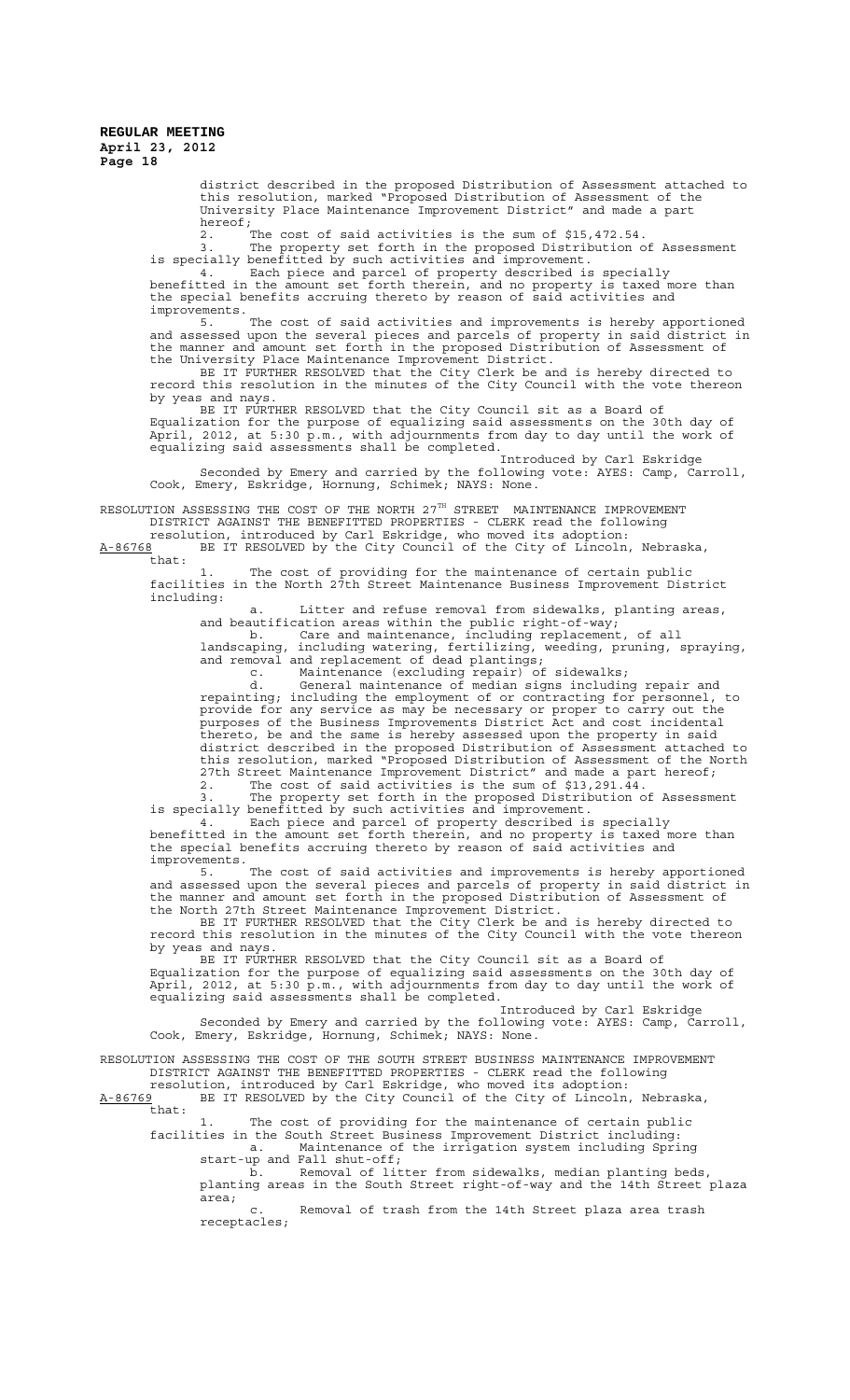> district described in the proposed Distribution of Assessment attached to this resolution, marked "Proposed Distribution of Assessment of the University Place Maintenance Improvement District" and made a part hereof;

2. The cost of said activities is the sum of \$15,472.54.

3. The property set forth in the proposed Distribution of Assessment is specially benefitted by such activities and improvement. 4. Each piece and parcel of property described is specially

benefitted in the amount set forth therein, and no property is taxed more than the special benefits accruing thereto by reason of said activities and improvements.

5. The cost of said activities and improvements is hereby apportioned and assessed upon the several pieces and parcels of property in said district in the manner and amount set forth in the proposed Distribution of Assessment of the University Place Maintenance Improvement District.

BE IT FURTHER RESOLVED that the City Clerk be and is hereby directed to record this resolution in the minutes of the City Council with the vote thereon by yeas and nays.

BE IT FURTHER RESOLVED that the City Council sit as a Board of Equalization for the purpose of equalizing said assessments on the 30th day of April, 2012, at 5:30 p.m., with adjournments from day to day until the work of equalizing said assessments shall be completed.

Introduced by Carl Eskridge Seconded by Emery and carried by the following vote: AYES: Camp, Carroll, Cook, Emery, Eskridge, Hornung, Schimek; NAYS: None.

RESOLUTION ASSESSING THE COST OF THE NORTH  $27^{\text{th}}$  STREET MAINTENANCE IMPROVEMENT DISTRICT AGAINST THE BENEFITTED PROPERTIES - CLERK read the following

resolution, introduced by Carl Eskridge, who moved its adoption: A-86768 BE IT RESOLVED by the City Council of the City of Lincoln, Nebraska,  $A-86768$ <br>that:

1. The cost of providing for the maintenance of certain public facilities in the North 27th Street Maintenance Business Improvement District including:

a. Litter and refuse removal from sidewalks, planting areas, and beautification areas within the public right-of-way;

b. Care and maintenance, including replacement, of all landscaping, including watering, fertilizing, weeding, pruning, spraying, and removal and replacement of dead plantings;

c. Maintenance (excluding repair) of sidewalks;

d. General maintenance of median signs including repair and repainting; including the employment of or contracting for personnel, to provide for any service as may be necessary or proper to carry out the purposes of the Business Improvements District Act and cost incidental thereto, be and the same is hereby assessed upon the property in said district described in the proposed Distribution of Assessment attached to this resolution, marked "Proposed Distribution of Assessment of the North 27th Street Maintenance Improvement District" and made a part hereof; 2. The cost of said activities is the sum of \$13,291.44.

3. The property set forth in the proposed Distribution of Assessment is specially benefitted by such activities and improvement.

4. Each piece and parcel of property described is specially benefitted in the amount set forth therein, and no property is taxed more than the special benefits accruing thereto by reason of said activities and improvements.

5. The cost of said activities and improvements is hereby apportioned and assessed upon the several pieces and parcels of property in said district in the manner and amount set forth in the proposed Distribution of Assessment of the North 27th Street Maintenance Improvement District.

BE IT FURTHER RESOLVED that the City Clerk be and is hereby directed to record this resolution in the minutes of the City Council with the vote thereon by yeas and nays.

BE IT FURTHER RESOLVED that the City Council sit as a Board of Equalization for the purpose of equalizing said assessments on the 30th day of April, 2012, at 5:30 p.m., with adjournments from day to day until the work of equalizing said assessments shall be completed.

Introduced by Carl Eskridge Seconded by Emery and carried by the following vote: AYES: Camp, Carroll, Cook, Emery, Eskridge, Hornung, Schimek; NAYS: None.

RESOLUTION ASSESSING THE COST OF THE SOUTH STREET BUSINESS MAINTENANCE IMPROVEMENT DISTRICT AGAINST THE BENEFITTED PROPERTIES - CLERK read the following

resolution, introduced by Carl Eskridge, who moved its adoption: A-86769 BE IT RESOLVED by the City Council of the City of Lincoln, Nebraska,  $A-86769$ <br>that:

1. The cost of providing for the maintenance of certain public

facilities in the South Street Business Improvement District including: a. Maintenance of the irrigation system including Spring start-up and Fall shut-off;

b. Removal of litter from sidewalks, median planting beds, planting areas in the South Street right-of-way and the 14th Street plaza pia..<br>area;<br>c.

Removal of trash from the 14th Street plaza area trash receptacles;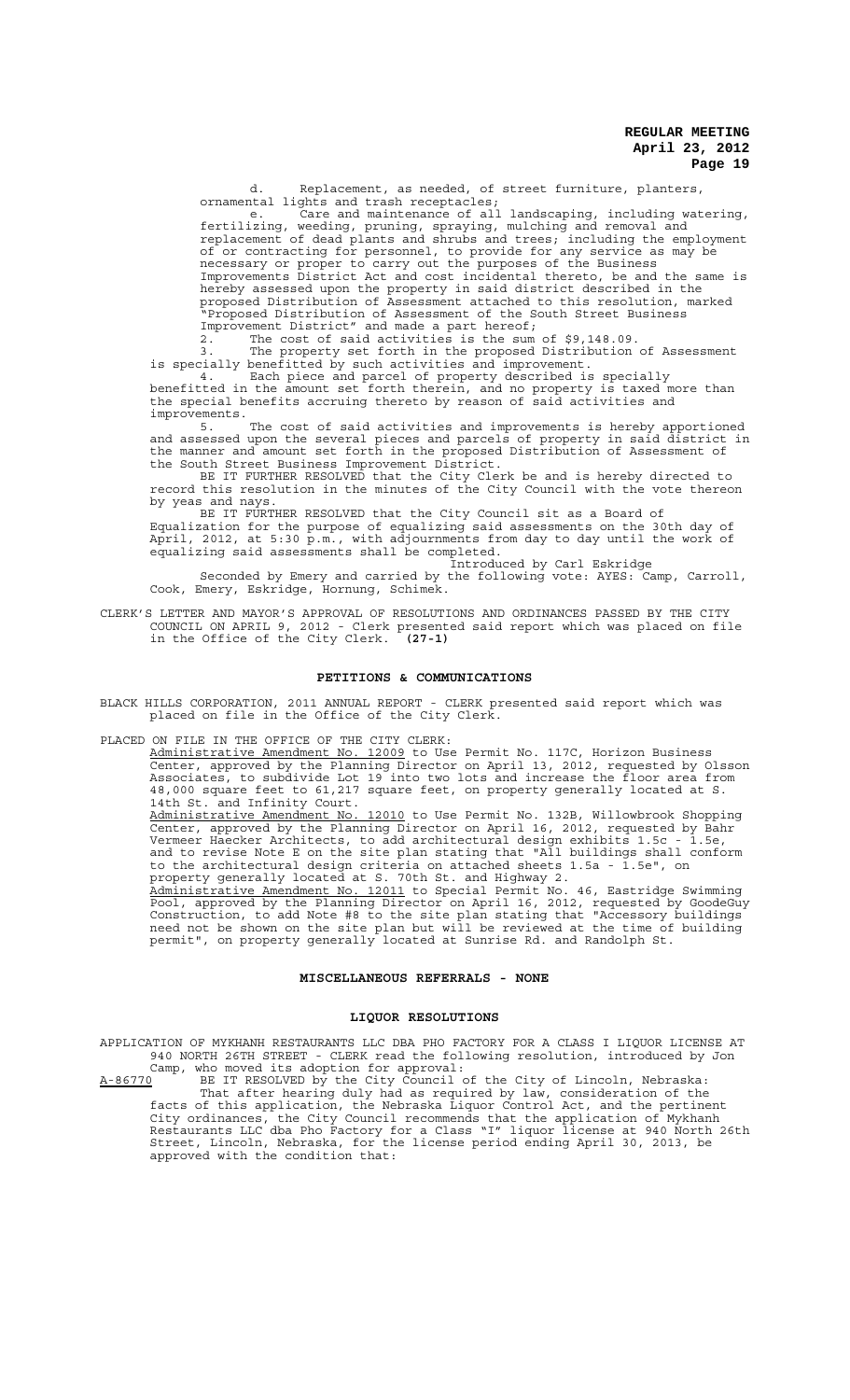d. Replacement, as needed, of street furniture, planters, ornamental lights and trash receptacles;

e. Care and maintenance of all landscaping, including watering, fertilizing, weeding, pruning, spraying, mulching and removal and replacement of dead plants and shrubs and trees; including the employment of or contracting for personnel, to provide for any service as may be necessary or proper to carry out the purposes of the Business Improvements District Act and cost incidental thereto, be and the same is hereby assessed upon the property in said district described in the proposed Distribution of Assessment attached to this resolution, marked "Proposed Distribution of Assessment of the South Street Business Improvement District" and made a part hereof;

2. The cost of said activities is the sum of \$9,148.09.

3. The property set forth in the proposed Distribution of Assessment is specially benefitted by such activities and improvement.

 4. Each piece and parcel of property described is specially benefitted in the amount set forth therein, and no property is taxed more than the special benefits accruing thereto by reason of said activities and improvements.

5. The cost of said activities and improvements is hereby apportioned and assessed upon the several pieces and parcels of property in said district in the manner and amount set forth in the proposed Distribution of Assessment of the South Street Business Improvement District. the South Street Business Improvement District.<br>BE IT FURTHER RESOLVED that the City Clerk be and is hereby directed to

record this resolution in the minutes of the City Council with the vote thereon by yeas and nays.

BE IT FURTHER RESOLVED that the City Council sit as a Board of Equalization for the purpose of equalizing said assessments on the 30th day of April, 2012, at 5:30 p.m., with adjournments from day to day until the work of equalizing said assessments shall be completed. Introduced by Carl Eskridge

Seconded by Emery and carried by the following vote: AYES: Camp, Carroll, Cook, Emery, Eskridge, Hornung, Schimek.

CLERK'S LETTER AND MAYOR'S APPROVAL OF RESOLUTIONS AND ORDINANCES PASSED BY THE CITY COUNCIL ON APRIL 9, 2012 - Clerk presented said report which was placed on file in the Office of the City Clerk. **(27-1)**

## **PETITIONS & COMMUNICATIONS**

BLACK HILLS CORPORATION, 2011 ANNUAL REPORT - CLERK presented said report which was placed on file in the Office of the City Cler $\bar{\text{k}}$ .

### PLACED ON FILE IN THE OFFICE OF THE CITY CLERK:

Administrative Amendment No. 12009 to Use Permit No. 117C, Horizon Business Center, approved by the Planning Director on April 13, 2012, requested by Olsson Associates, to subdivide Lot 19 into two lots and increase the floor area from 48,000 square feet to 61,217 square feet, on property generally located at S. 14th St. and Infinity Court.

Administrative Amendment No. 12010 to Use Permit No. 132B, Willowbrook Shopping Center, approved by the Planning Director on April 16, 2012, requested by Bahr Vermeer Haecker Architects, to add architectural design exhibits 1.5c - 1.5e, and to revise Note E on the site plan stating that "All buildings shall conform to the architectural design criteria on attached sheets 1.5a - 1.5e", on property generally located at S. 70th St. and Highway 2.

Administrative Amendment No. 12011 to Special Permit No. 46, Eastridge Swimming Pool, approved by the Planning Director on April 16, 2012, requested by GoodeGuy Construction, to add Note #8 to the site plan stating that "Accessory buildings need not be shown on the site plan but will be reviewed at the time of building permit", on property generally located at Sunrise Rd. and Randolph St.

## **MISCELLANEOUS REFERRALS - NONE**

#### **LIQUOR RESOLUTIONS**

APPLICATION OF MYKHANH RESTAURANTS LLC DBA PHO FACTORY FOR A CLASS I LIQUOR LICENSE AT 940 NORTH 26TH STREET - CLERK read the following resolution, introduced by Jon Camp, who moved its adoption for approval:

 $A-86770$  BE IT RESOLVED by the City Council of the City of Lincoln, Nebraska: That after hearing duly had as required by law, consideration of the facts of this application, the Nebraska Liquor Control Act, and the pertinent City ordinances, the City Council recommends that the application of Mykhanh Restaurants LLC dba Pho Factory for a Class "I" liquor license at 940 North 26th Street, Lincoln, Nebraska, for the license period ending April 30, 2013, be approved with the condition that: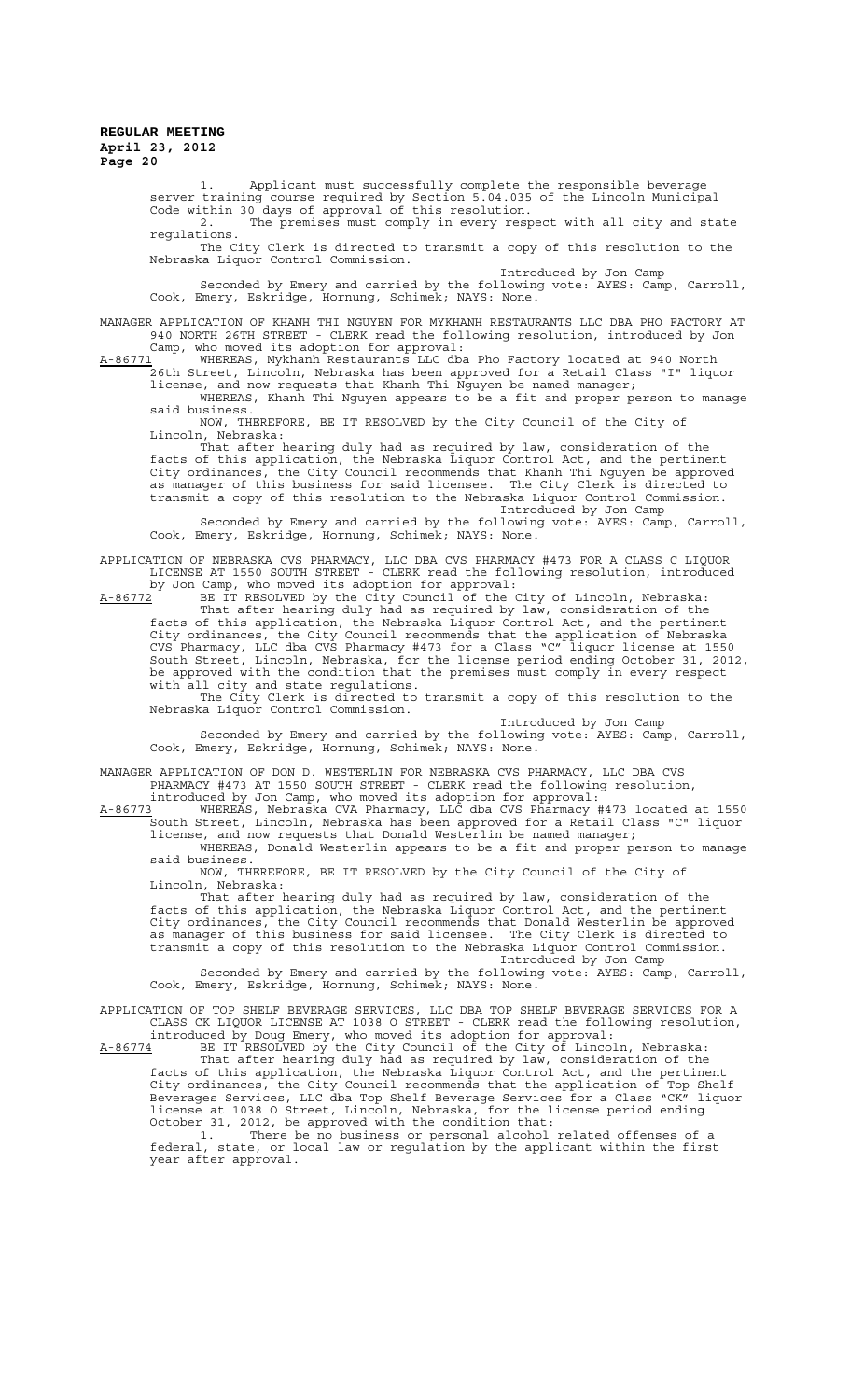1. Applicant must successfully complete the responsible beverage server training course required by Section 5.04.035 of the Lincoln Municipal Code within 30 days of approval of this resolution.

2. The premises must comply in every respect with all city and state regulations.

The City Clerk is directed to transmit a copy of this resolution to the Nebraska Liquor Control Commission.

Introduced by Jon Camp Seconded by Emery and carried by the following vote: AYES: Camp, Carroll, Cook, Emery, Eskridge, Hornung, Schimek; NAYS: None.

MANAGER APPLICATION OF KHANH THI NGUYEN FOR MYKHANH RESTAURANTS LLC DBA PHO FACTORY AT 940 NORTH 26TH STREET - CLERK read the following resolution, introduced by Jon Camp, who moved its adoption for approval:

A-86771 WHEREAS, Mykhanh Restaurants LLC dba Pho Factory located at 940 North 26th Street, Lincoln, Nebraska has been approved for a Retail Class "I" liquor license, and now requests that Khanh Thi Nguyen be named manager;

WHEREAS, Khanh Thi Nguyen appears to be a fit and proper person to manage said business.

NOW, THEREFORE, BE IT RESOLVED by the City Council of the City of Lincoln, Nebraska:

That after hearing duly had as required by law, consideration of the facts of this application, the Nebraska Liquor Control Act, and the pertinent City ordinances, the City Council recommends that Khanh Thi Nguyen be approved as manager of this business for said licensee. The City Clerk is directed to transmit a copy of this resolution to the Nebraska Liquor Control Commission. Introduced by Jon Camp

Seconded by Emery and carried by the following vote: AYES: Camp, Carroll, Cook, Emery, Eskridge, Hornung, Schimek; NAYS: None.

APPLICATION OF NEBRASKA CVS PHARMACY, LLC DBA CVS PHARMACY #473 FOR A CLASS C LIQUOR LICENSE AT 1550 SOUTH STREET - CLERK read the following resolution, introduced by Jon Camp, who moved its adoption for approval:

A-86772 BE IT RESOLVED by the City Council of the City of Lincoln, Nebraska: That after hearing duly had as required by law, consideration of the facts of this application, the Nebraska Liquor Control Act, and the pertinent City ordinances, the City Council recommends that the application of Nebraska CVS Pharmacy, LLC dba CVS Pharmacy #473 for a Class "C" liquor license at 1550 South Street, Lincoln, Nebraska, for the license period ending October 31, 2012, be approved with the condition that the premises must comply in every respect with all city and state regulations.

The City Clerk is directed to transmit a copy of this resolution to the Nebraska Liquor Control Commission.

Introduced by Jon Camp Seconded by Emery and carried by the following vote: AYES: Camp, Carroll, Cook, Emery, Eskridge, Hornung, Schimek; NAYS: None.

MANAGER APPLICATION OF DON D. WESTERLIN FOR NEBRASKA CVS PHARMACY, LLC DBA CVS PHARMACY #473 AT 1550 SOUTH STREET - CLERK read the following resolution,

introduced by Jon Camp, who moved its adoption for approval: A-86773 WHEREAS, Nebraska CVA Pharmacy, LLC dba CVS Pharmacy #473 located at 1550 South Street, Lincoln, Nebraska has been approved for a Retail Class "C" liquor license, and now requests that Donald Westerlin be named manager;

WHEREAS, Donald Westerlin appears to be a fit and proper person to manage said business.

NOW, THEREFORE, BE IT RESOLVED by the City Council of the City of Lincoln, Nebraska:

That after hearing duly had as required by law, consideration of the facts of this application, the Nebraska Liquor Control Act, and the pertinent City ordinances, the City Council recommends that Donald Westerlin be approved as manager of this business for said licensee. The City Clerk is directed to transmit a copy of this resolution to the Nebraska Liquor Control Commission.

Introduced by Jon Camp Seconded by Emery and carried by the following vote: AYES: Camp, Carroll, Cook, Emery, Eskridge, Hornung, Schimek; NAYS: None.

APPLICATION OF TOP SHELF BEVERAGE SERVICES, LLC DBA TOP SHELF BEVERAGE SERVICES FOR A CLASS CK LIQUOR LICENSE AT 1038 O STREET - CLERK read the following resolution, introduced by Doug Emery, who moved its adoption for approval:

 $A-86774$  BE IT RESOLVED by the City Council of the City of Lincoln, Nebraska: That after hearing duly had as required by law, consideration of the facts of this application, the Nebraska Liquor Control Act, and the pertinent City ordinances, the City Council recommends that the application of Top Shelf Beverages Services, LLC dba Top Shelf Beverage Services for a Class "CK" liquor license at 1038 O Street, Lincoln, Nebraska, for the license period ending October 31, 2012, be approved with the condition that:

1. There be no business or personal alcohol related offenses of a federal, state, or local law or regulation by the applicant within the first year after approval.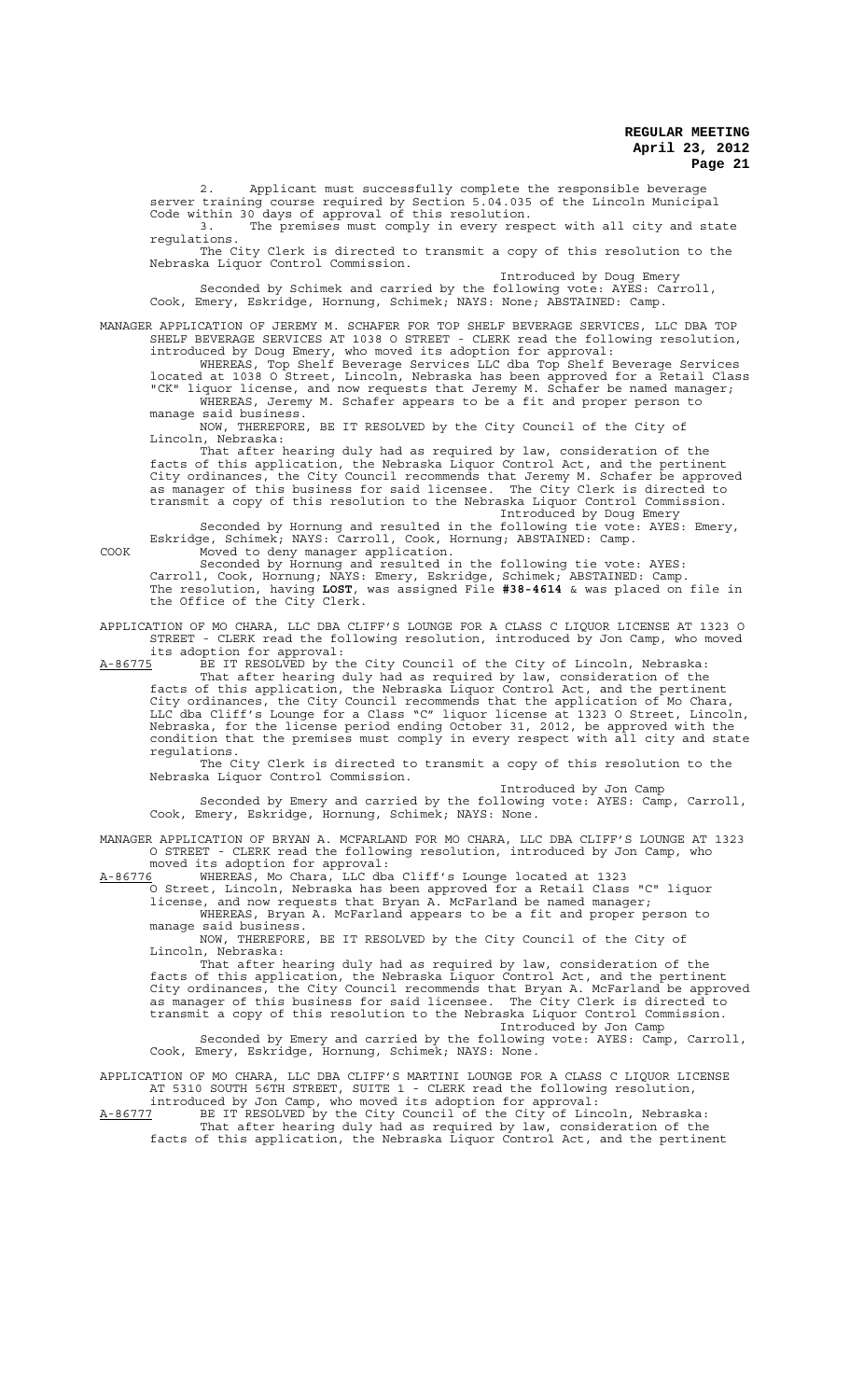2. Applicant must successfully complete the responsible beverage server training course required by Section 5.04.035 of the Lincoln Municipal Code within 30 days of approval of this resolution.

The premises must comply in every respect with all city and state regulations.

The City Clerk is directed to transmit a copy of this resolution to the Nebraska Liquor Control Commission.

Introduced by Doug Emery

Seconded by Schimek and carried by the following vote: AYES: Carroll, Cook, Emery, Eskridge, Hornung, Schimek; NAYS: None; ABSTAINED: Camp.

MANAGER APPLICATION OF JEREMY M. SCHAFER FOR TOP SHELF BEVERAGE SERVICES, LLC DBA TOP SHELF BEVERAGE SERVICES AT 1038 O STREET - CLERK read the following resolution, introduced by Doug Emery, who moved its adoption for approval:

WHEREAS, Top Shelf Beverage Services LLC dba Top Shelf Beverage Services located at 1038 O Street, Lincoln, Nebraska has been approved for a Retail Class "CK" liquor license, and now requests that Jeremy M. Schafer be named manager; WHEREAS, Jeremy M. Schafer appears to be a fit and proper person to manage said business.

NOW, THEREFORE, BE IT RESOLVED by the City Council of the City of Lincoln, Nebraska:

That after hearing duly had as required by law, consideration of the facts of this application, the Nebraska Liquor Control Act, and the pertinent City ordinances, the City Council recommends that Jeremy M. Schafer be approved as manager of this business for said licensee. The City Clerk is directed to transmit a copy of this resolution to the Nebraska Liquor Control Commission. Introduced by Doug Emery

Seconded by Hornung and resulted in the following tie vote: AYES: Emery, Eskridge, Schimek; NAYS: Carroll, Cook, Hornung; ABSTAINED: Camp.

COOK Moved to deny manager application. Seconded by Hornung and resulted in the following tie vote: AYES: Carroll, Cook, Hornung; NAYS: Emery, Eskridge, Schimek; ABSTAINED: Camp. The resolution, having **LOST**, was assigned File **#38-4614** & was placed on file in the Office of the City Clerk.

APPLICATION OF MO CHARA, LLC DBA CLIFF'S LOUNGE FOR A CLASS C LIQUOR LICENSE AT 1323 O STREET - CLERK read the following resolution, introduced by Jon Camp, who moved its adoption for approval:<br>A-86775 BE IT RESOLVED by the

BE IT RESOLVED by the City Council of the City of Lincoln, Nebraska: That after hearing duly had as required by law, consideration of the facts of this application, the Nebraska Liquor Control Act, and the pertinent City ordinances, the City Council recommends that the application of Mo Chara, LLC dba Cliff's Lounge for a Class "C" liquor license at 1323 O Street, Lincoln, Nebraska, for the license period ending October 31, 2012, be approved with the condition that the premises must comply in every respect with all city and state regulations.

The City Clerk is directed to transmit a copy of this resolution to the Nebraska Liquor Control Commission.

Introduced by Jon Camp

Seconded by Emery and carried by the following vote: AYES: Camp, Carroll, Cook, Emery, Eskridge, Hornung, Schimek; NAYS: None.

MANAGER APPLICATION OF BRYAN A. MCFARLAND FOR MO CHARA, LLC DBA CLIFF'S LOUNGE AT 1323 O STREET - CLERK read the following resolution, introduced by Jon Camp, who moved its adoption for approval:

A-86776 WHEREAS, Mo Chara, LLC dba Cliff's Lounge located at 1323

O Street, Lincoln, Nebraska has been approved for a Retail Class "C" liquor license, and now requests that Bryan A. McFarland be named manager; WHEREAS, Bryan A. McFarland appears to be a fit and proper person to manage said business.

NOW, THEREFORE, BE IT RESOLVED by the City Council of the City of Lincoln, Nebraska:

That after hearing duly had as required by law, consideration of the facts of this application, the Nebraska Liquor Control Act, and the pertinent City ordinances, the City Council recommends that Bryan A. McFarland be approved as manager of this business for said licensee. The City Clerk is directed to transmit a copy of this resolution to the Nebraska Liquor Control Commission. Introduced by Jon Camp

Seconded by Emery and carried by the following vote: AYES: Camp, Carroll, Cook, Emery, Eskridge, Hornung, Schimek; NAYS: None.

APPLICATION OF MO CHARA, LLC DBA CLIFF'S MARTINI LOUNGE FOR A CLASS C LIQUOR LICENSE AT 5310 SOUTH 56TH STREET, SUITE 1 - CLERK read the following resolution, introduced by Jon Camp, who moved its adoption for approval:

A-86777 BE IT RESOLVED by the City Council of the City of Lincoln, Nebraska: That after hearing duly had as required by law, consideration of the facts of this application, the Nebraska Liquor Control Act, and the pertinent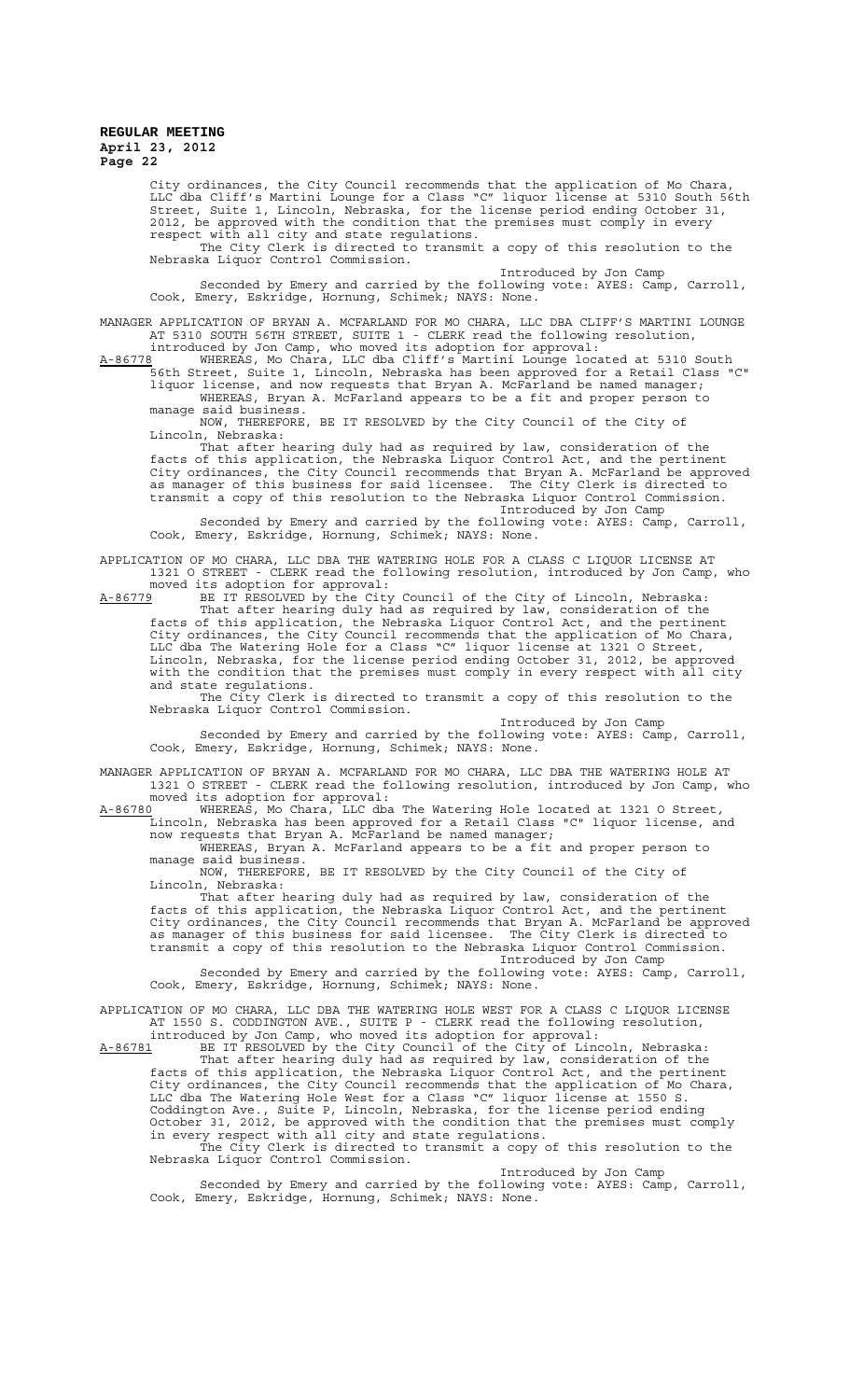City ordinances, the City Council recommends that the application of Mo Chara, LLC dba Cliff's Martini Lounge for a Class "C" liquor license at 5310 South 56th Street, Suite 1, Lincoln, Nebraska, for the license period ending October 31, 2012, be approved with the condition that the premises must comply in every respect with all city and state regulations.

The City Clerk is directed to transmit a copy of this resolution to the Nebraska Liquor Control Commission.

Introduced by Jon Camp

Seconded by Emery and carried by the following vote: AYES: Camp, Carroll, Cook, Emery, Eskridge, Hornung, Schimek; NAYS: None.

MANAGER APPLICATION OF BRYAN A. MCFARLAND FOR MO CHARA, LLC DBA CLIFF'S MARTINI LOUNGE AT 5310 SOUTH 56TH STREET, SUITE 1 - CLERK read the following resolution, introduced by Jon Camp, who moved its adoption for approval:

A-86778 WHEREAS, Mo Chara, LLC dba Cliff's Martini Lounge located at 5310 South 56th Street, Suite 1, Lincoln, Nebraska has been approved for a Retail Class "C" liquor license, and now requests that Bryan A. McFarland be named manager; WHEREAS, Bryan A. McFarland appears to be a fit and proper person to

manage said business. NOW, THEREFORE, BE IT RESOLVED by the City Council of the City of Lincoln, Nebraska:

That after hearing duly had as required by law, consideration of the facts of this application, the Nebraska Liquor Control Act, and the pertinent City ordinances, the City Council recommends that Bryan A. McFarland be approved as manager of this business for said licensee. The City Clerk is directed transmit a copy of this resolution to the Nebraska Liquor Control Commission. Introduced by Jon Camp

Seconded by Emery and carried by the following vote: AYES: Camp, Carroll, Cook, Emery, Eskridge, Hornung, Schimek; NAYS: None.

APPLICATION OF MO CHARA, LLC DBA THE WATERING HOLE FOR A CLASS C LIQUOR LICENSE AT 1321 O STREET - CLERK read the following resolution, introduced by Jon Camp, who moved its adoption for approval:

A-86779 BE IT RESOLVED by the City Council of the City of Lincoln, Nebraska: That after hearing duly had as required by law, consideration of the facts of this application, the Nebraska Liquor Control Act, and the pertinent City ordinances, the City Council recommends that the application of Mo Chara, LLC dba The Watering Hole for a Class "C" liquor license at 1321 O Street, Lincoln, Nebraska, for the license period ending October 31, 2012, be approved with the condition that the premises must comply in every respect with all city and state regulations.

The City Clerk is directed to transmit a copy of this resolution to the Nebraska Liquor Control Commission.

Introduced by Jon Camp Seconded by Emery and carried by the following vote: AYES: Camp, Carroll, Cook, Emery, Eskridge, Hornung, Schimek; NAYS: None.

MANAGER APPLICATION OF BRYAN A. MCFARLAND FOR MO CHARA, LLC DBA THE WATERING HOLE AT 1321 O STREET - CLERK read the following resolution, introduced by Jon Camp, who moved its adoption for approval:

A-86780 WHEREAS, Mo Chara, LLC dba The Watering Hole located at 1321 O Street, Lincoln, Nebraska has been approved for a Retail Class "C" liquor license, and now requests that Bryan A. McFarland be named manager;

WHEREAS, Bryan A. McFarland appears to be a fit and proper person to manage said business.

NOW, THEREFORE, BE IT RESOLVED by the City Council of the City of Lincoln, Nebraska:

That after hearing duly had as required by law, consideration of the facts of this application, the Nebraska Liquor Control Act, and the pertinent City ordinances, the City Council recommends that Bryan A. McFarland be approved as manager of this business for said licensee. The City Clerk is directed to transmit a copy of this resolution to the Nebraska Liquor Control Commission.

Introduced by Jon Camp Seconded by Emery and carried by the following vote: AYES: Camp, Carroll, Cook, Emery, Eskridge, Hornung, Schimek; NAYS: None.

APPLICATION OF MO CHARA, LLC DBA THE WATERING HOLE WEST FOR A CLASS C LIQUOR LICENSE AT 1550 S. CODDINGTON AVE., SUITE P - CLERK read the following resolution, introduced by Jon Camp, who moved its adoption for approval:

A-86781 BE IT RESOLVED by the City Council of the City of Lincoln, Nebraska: That after hearing duly had as required by law, consideration of the facts of this application, the Nebraska Liquor Control Act, and the pertinent City ordinances, the City Council recommends that the application of Mo Chara, LLC dba The Watering Hole West for a Class "C" liquor license at 1550 S. Coddington Ave., Suite P, Lincoln, Nebraska, for the license period ending October 31, 2012, be approved with the condition that the premises must comply in every respect with all city and state regulations. The City Clerk is directed to transmit a copy of this resolution to the Nebraska Liquor Control Commission.

Introduced by Jon Camp Seconded by Emery and carried by the following vote: AYES: Camp, Carroll, Cook, Emery, Eskridge, Hornung, Schimek; NAYS: None.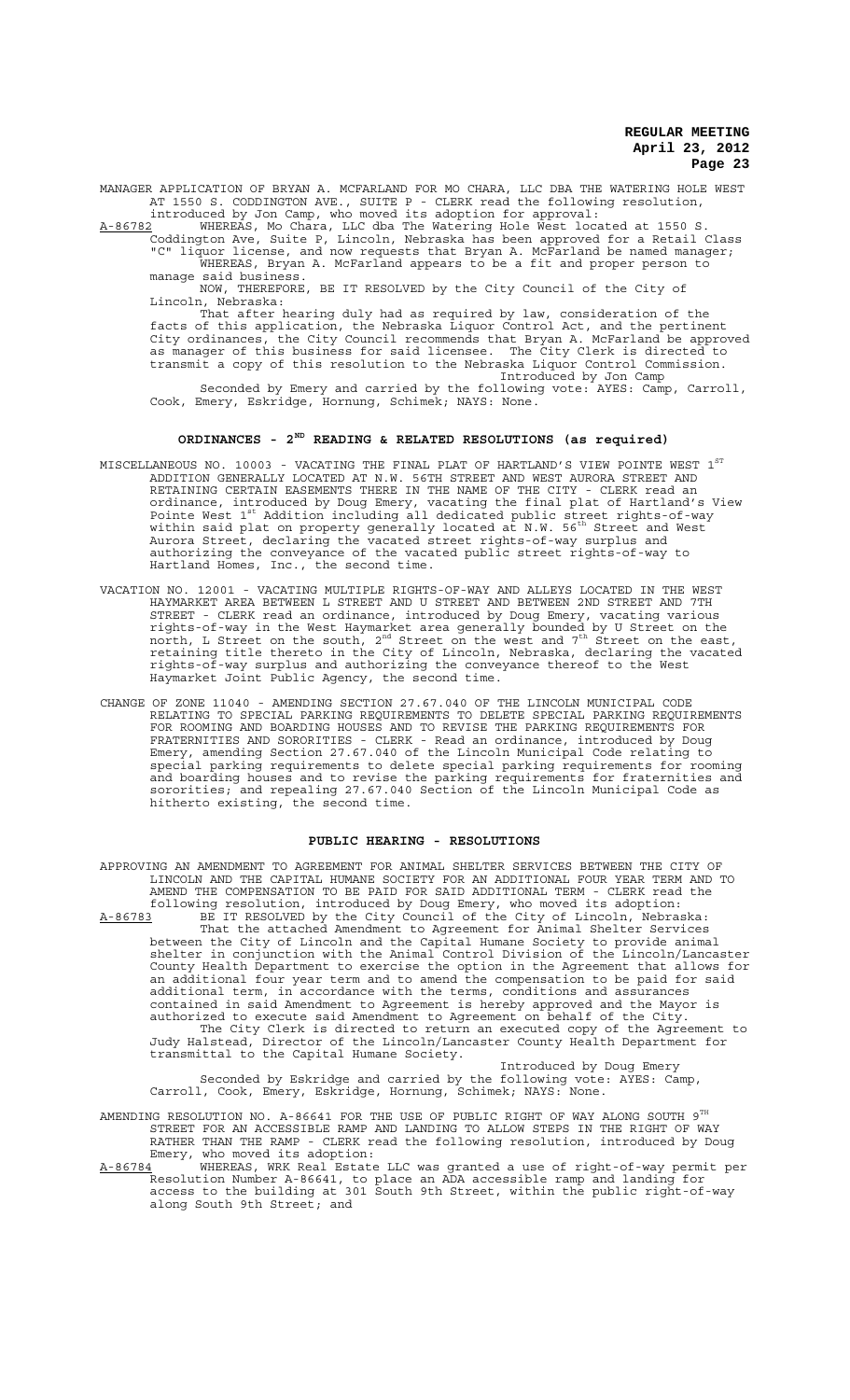MANAGER APPLICATION OF BRYAN A. MCFARLAND FOR MO CHARA, LLC DBA THE WATERING HOLE WEST AT 1550 S. CODDINGTON AVE., SUITE P - CLERK read the following resolution,

introduced by Jon Camp, who moved its adoption for approval:<br>A-86782 WHEREAS, Mo Chara, LLC dba The Watering Hole West loca A-86782 WHEREAS, Mo Chara, LLC dba The Watering Hole West located at 1550 S. Coddington Ave, Suite P, Lincoln, Nebraska has been approved for a Retail Class

"C" liquor license, and now requests that Bryan A. McFarland be named manager; WHEREAS, Bryan A. McFarland appears to be a fit and proper person to manage said business.<br>NOW, THEREFORE

THEREFORE, BE IT RESOLVED by the City Council of the City of Lincoln, Nebraska:

That after hearing duly had as required by law, consideration of the facts of this application, the Nebraska Liquor Control Act, and the pertinent City ordinances, the City Council recommends that Bryan A. McFarland be approved as manager of this business for said licensee. The City Clerk is directed to transmit a copy of this resolution to the Nebraska Liquor Control Commission. Introduced by Jon Camp

Seconded by Emery and carried by the following vote: AYES: Camp, Carroll, Cook, Emery, Eskridge, Hornung, Schimek; NAYS: None.

# **ORDINANCES - 2ND READING & RELATED RESOLUTIONS (as required)**

- MISCELLANEOUS NO. 10003 VACATING THE FINAL PLAT OF HARTLAND'S VIEW POINTE WEST  $1^{\mathrm{ST}}$ ADDITION GENERALLY LOCATED AT N.W. 56TH STREET AND WEST AURORA STREET AND RETAINING CERTAIN EASEMENTS THERE IN THE NAME OF THE CITY - CLERK read an ordinance, introduced by Doug Emery, vacating the final plat of Hartland's View<br>Pointe West 1<sup>st</sup> Addition including all dedicated public street rights-of-way within said plat on property generally located at N.W. 56<sup>th</sup> Street and West Aurora Street, declaring the vacated street rights-of-way surplus and authorizing the conveyance of the vacated public street rights-of-way to Hartland Homes, Inc., the second time.
- VACATION NO. 12001 VACATING MULTIPLE RIGHTS-OF-WAY AND ALLEYS LOCATED IN THE WEST HAYMARKET AREA BETWEEN L STREET AND U STREET AND BETWEEN 2ND STREET AND 7TH STREET - CLERK read an ordinance, introduced by Doug Emery, vacating various rights-of-way in the West Haymarket area generally bounded by U Street on the<br>north, L Street on the south, 2<sup>nd</sup> Street on the west and 7<sup>th</sup> Street on the east, retaining title thereto in the City of Lincoln, Nebraska, declaring the vacated rights-of-way surplus and authorizing the conveyance thereof to the West Haymarket Joint Public Agency, the second time.
- CHANGE OF ZONE 11040 AMENDING SECTION 27.67.040 OF THE LINCOLN MUNICIPAL CODE RELATING TO SPECIAL PARKING REQUIREMENTS TO DELETE SPECIAL PARKING REQUIREMENTS FOR ROOMING AND BOARDING HOUSES AND TO REVISE THE PARKING REQUIREMENTS FOR FRATERNITIES AND SORORITIES - CLERK - Read an ordinance, introduced by Doug Emery, amending Section 27.67.040 of the Lincoln Municipal Code relating to special parking requirements to delete special parking requirements for rooming and boarding houses and to revise the parking requirements for fraternities and sororities; and repealing 27.67.040 Section of the Lincoln Municipal Code as hitherto existing, the second time.

### **PUBLIC HEARING - RESOLUTIONS**

APPROVING AN AMENDMENT TO AGREEMENT FOR ANIMAL SHELTER SERVICES BETWEEN THE CITY OF

LINCOLN AND THE CAPITAL HUMANE SOCIETY FOR AN ADDITIONAL FOUR YEAR TERM AND TO AMEND THE COMPENSATION TO BE PAID FOR SAID ADDITIONAL TERM - CLERK read the following resolution, introduced by Doug Emery, who moved its adoption: A-86783 BE IT RESOLVED by the City Council of the City of Lincoln, Nebraska: That the attached Amendment to Agreement for Animal Shelter Services between the City of Lincoln and the Capital Humane Society to provide animal shelter in conjunction with the Animal Control Division of the Lincoln/Lancaster County Health Department to exercise the option in the Agreement that allows for an additional four year term and to amend the compensation to be paid for said additional term, in accordance with the terms, conditions and assurances contained in said Amendment to Agreement is hereby approved and the Mayor is authorized to execute said Amendment to Agreement on behalf of the City. The City Clerk is directed to return an executed copy of the Agreement to Judy Halstead, Director of the Lincoln/Lancaster County Health Department for transmittal to the Capital Humane Society. Introduced by Doug Emery Seconded by Eskridge and carried by the following vote: AYES: Camp,

Carroll, Cook, Emery, Eskridge, Hornung, Schimek; NAYS: None.

AMENDING RESOLUTION NO. A-86641 FOR THE USE OF PUBLIC RIGHT OF WAY ALONG SOUTH  $9^{TH}$ STREET FOR AN ACCESSIBLE RAMP AND LANDING TO ALLOW STEPS IN THE RIGHT OF WAY RATHER THAN THE RAMP - CLERK read the following resolution, introduced by Doug Emery, who moved its adoption:

A-86784 WHEREAS, WRK Real Estate LLC was granted a use of right-of-way permit per Resolution Number A-86641, to place an ADA accessible ramp and landing for access to the building at 301 South 9th Street, within the public right-of-way along South 9th Street; and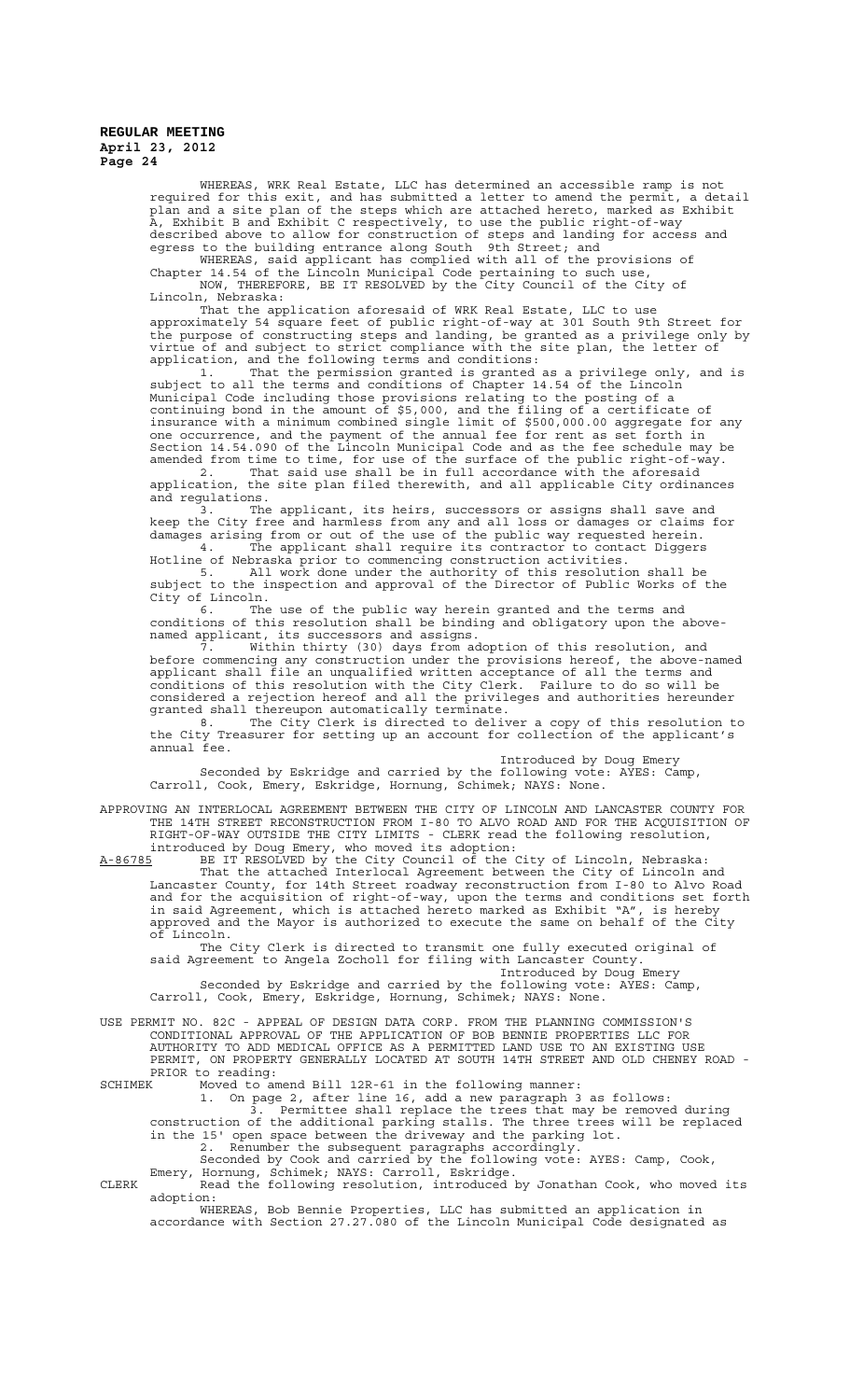> WHEREAS, WRK Real Estate, LLC has determined an accessible ramp is not required for this exit, and has submitted a letter to amend the permit, a detail plan and a site plan of the steps which are attached hereto, marked as Exhibit A, Exhibit B and Exhibit C respectively, to use the public right-of-way described above to allow for construction of steps and landing for access and egress to the building entrance along South 9th Street; and

WHEREAS, said applicant has complied with all of the provisions of Chapter 14.54 of the Lincoln Municipal Code pertaining to such use, NOW, THEREFORE, BE IT RESOLVED by the City Council of the City of Lincoln, Nebraska:

That the application aforesaid of WRK Real Estate, LLC to use approximately 54 square feet of public right-of-way at 301 South 9th Street for the purpose of constructing steps and landing, be granted as a privilege only by virtue of and subject to strict compliance with the site plan, the letter of application, and the following terms and conditions:

1. That the permission granted is granted as a privilege only, and is subject to all the terms and conditions of Chapter 14.54 of the Lincoln Municipal Code including those provisions relating to the posting of a continuing bond in the amount of \$5,000, and the filing of a certificate of insurance with a minimum combined single limit of \$500,000.00 aggregate for any one occurrence, and the payment of the annual fee for rent as set forth in Section 14.54.090 of the Lincoln Municipal Code and as the fee schedule may be amended from time to time, for use of the surface of the public right-of-way.

2. That said use shall be in full accordance with the aforesaid application, the site plan filed therewith, and all applicable City ordinances and regulations.

3. The applicant, its heirs, successors or assigns shall save and keep the City free and harmless from any and all loss or damages or claims for damages arising from or out of the use of the public way requested herein. 4. The applicant shall require its contractor to contact Diggers

Hotline of Nebraska prior to commencing construction activities. 5. All work done under the authority of this resolution shall be subject to the inspection and approval of the Director of Public Works of the City of Lincoln.

6. The use of the public way herein granted and the terms and conditions of this resolution shall be binding and obligatory upon the abovenamed applicant, its successors and assigns.

7. Within thirty (30) days from adoption of this resolution, and before commencing any construction under the provisions hereof, the above-named applicant shall file an unqualified written acceptance of all the terms and conditions of this resolution with the City Clerk. Failure to do so will be considered a rejection hereof and all the privileges and authorities hereunder granted shall thereupon automatically terminate.

8. The City Clerk is directed to deliver a copy of this resolution to the City Treasurer for setting up an account for collection of the applicant's annual fee.

Introduced by Doug Emery Seconded by Eskridge and carried by the following vote: AYES: Camp, Carroll, Cook, Emery, Eskridge, Hornung, Schimek; NAYS: None.

APPROVING AN INTERLOCAL AGREEMENT BETWEEN THE CITY OF LINCOLN AND LANCASTER COUNTY FOR THE 14TH STREET RECONSTRUCTION FROM I-80 TO ALVO ROAD AND FOR THE ACQUISITION OF RIGHT-OF-WAY OUTSIDE THE CITY LIMITS - CLERK read the following resolution, introduced by Doug Emery, who moved its adoption:

A-86785 BE IT RESOLVED by the City Council of the City of Lincoln, Nebraska: That the attached Interlocal Agreement between the City of Lincoln and Lancaster County, for 14th Street roadway reconstruction from I-80 to Alvo Road and for the acquisition of right-of-way, upon the terms and conditions set forth in said Agreement, which is attached hereto marked as Exhibit "A", is hereby approved and the Mayor is authorized to execute the same on behalf of the City of Lincoln.

The City Clerk is directed to transmit one fully executed original of said Agreement to Angela Zocholl for filing with Lancaster County.

Introduced by Doug Emery Seconded by Eskridge and carried by the following vote: AYES: Camp, Carroll, Cook, Emery, Eskridge, Hornung, Schimek; NAYS: None.

USE PERMIT NO. 82C - APPEAL OF DESIGN DATA CORP. FROM THE PLANNING COMMISSION'S

CONDITIONAL APPROVAL OF THE APPLICATION OF BOB BENNIE PROPERTIES LLC FOR AUTHORITY TO ADD MEDICAL OFFICE AS A PERMITTED LAND USE TO AN EXISTING USE PERMIT, ON PROPERTY GENERALLY LOCATED AT SOUTH 14TH STREET AND OLD CHENEY ROAD - PRIOR to reading:<br>SCHIMEK Moved to a

SCHIMEK Moved to amend Bill 12R-61 in the following manner:

1. On page 2, after line 16, add a new paragraph 3 as follows:

3. Permittee shall replace the trees that may be removed during construction of the additional parking stalls. The three trees will be replaced in the 15' open space between the driveway and the parking lot. 2. Renumber the subsequent paragraphs accordingly.

Seconded by Cook and carried by the following vote: AYES: Camp, Cook, Emery, Hornung, Schimek; NAYS: Carroll, Eskridge.

CLERK Read the following resolution, introduced by Jonathan Cook, who moved its adoption:

WHEREAS, Bob Bennie Properties, LLC has submitted an application in accordance with Section 27.27.080 of the Lincoln Municipal Code designated as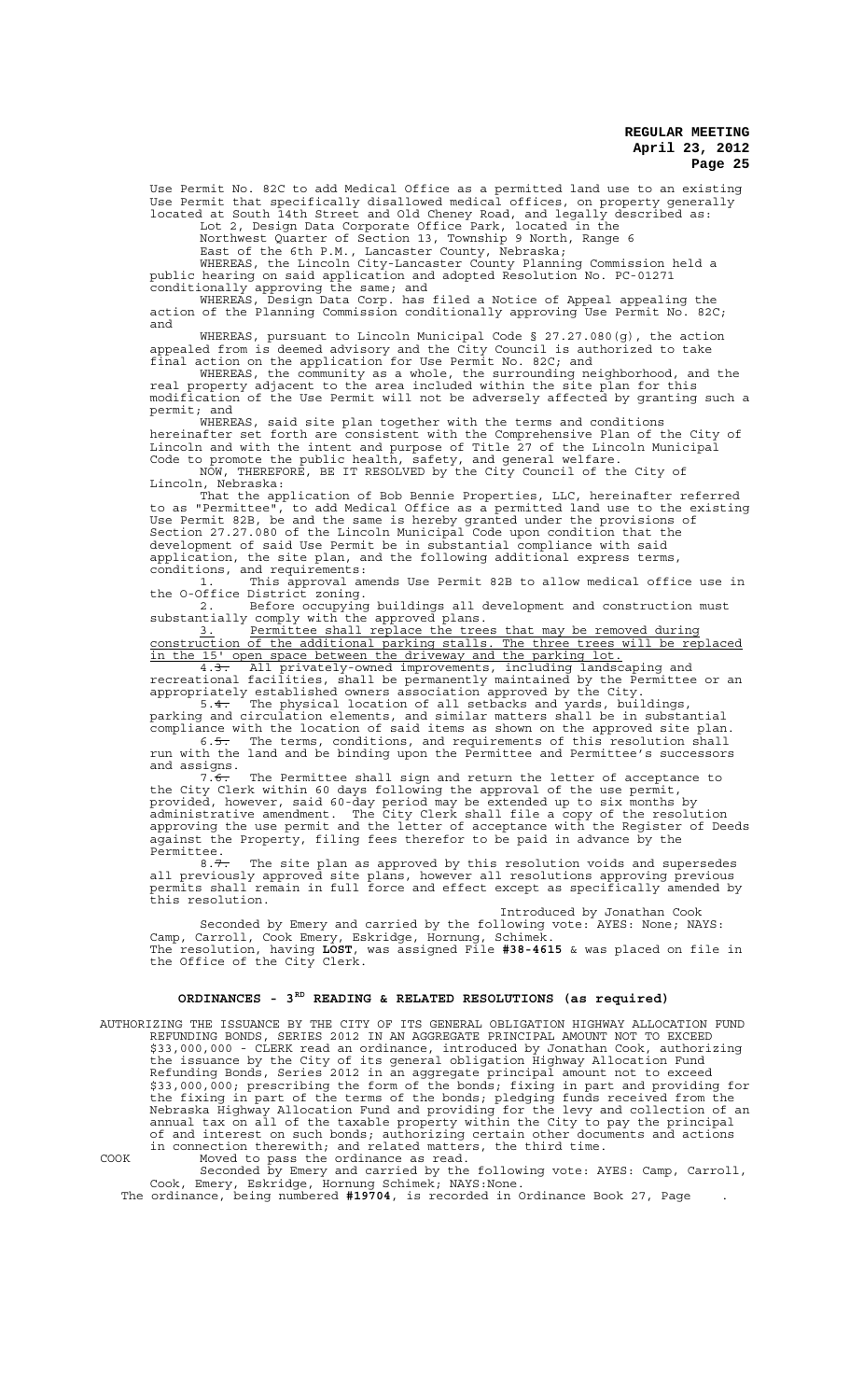Use Permit No. 82C to add Medical Office as a permitted land use to an existing Use Permit that specifically disallowed medical offices, on property generally located at South 14th Street and Old Cheney Road, and legally described as:

Lot 2, Design Data Corporate Office Park, located in the Northwest Quarter of Section 13, Township 9 North, Range 6

East of the 6th P.M., Lancaster County, Nebraska;

WHEREAS, the Lincoln City-Lancaster County Planning Commission held a public hearing on said application and adopted Resolution No. PC-01271 conditionally approving the same; and

WHEREAS, Design Data Corp. has filed a Notice of Appeal appealing the action of the Planning Commission conditionally approving Use Permit No. 82C; and

WHEREAS, pursuant to Lincoln Municipal Code § 27.27.080(g), the action appealed from is deemed advisory and the City Council is authorized to take final action on the application for Use Permit No. 82C; and

WHEREAS, the community as a whole, the surrounding neighborhood, and the real property adjacent to the area included within the site plan for this modification of the Use Permit will not be adversely affected by granting such a permit; and

WHEREAS, said site plan together with the terms and conditions hereinafter set forth are consistent with the Comprehensive Plan of the City of Lincoln and with the intent and purpose of Title 27 of the Lincoln Municipal Code to promote the public health, safety, and general welfare. NOW, THEREFORE, BE IT RESOLVED by the City Council of the City of

Lincoln, Nebraska:

That the application of Bob Bennie Properties, LLC, hereinafter referred to as "Permittee", to add Medical Office as a permitted land use to the existing Use Permit 82B, be and the same is hereby granted under the provisions of Section 27.27.080 of the Lincoln Municipal Code upon condition that the development of said Use Permit be in substantial compliance with said application, the site plan, and the following additional express terms, conditions, and requirements:

1. This approval amends Use Permit 82B to allow medical office use in the O-Office District zoning.

2. Before occupying buildings all development and construction must substantially comply with the approved plans. 3. Permittee shall replace the trees that may be removed during

construction of the additional parking stalls. The three trees will be replaced in the 15' open space between the driveway and the parking lot. 4.3. All privately-owned improvements, including landscaping and

recreational facilities, shall be permanently maintained by the Permittee or an appropriately established owners association approved by the City. 5.4. The physical location of all setbacks and yards, buildings,

parking and circulation elements, and similar matters shall be in substantial compliance with the location of said items as shown on the approved site plan. 6.5. The terms, conditions, and requirements of this resolution shall run with the land and be binding upon the Permittee and Permittee's successors

and assigns. 7. $\overline{6}$ . The Permittee shall sign and return the letter of acceptance to the City Clerk within 60 days following the approval of the use permit, provided, however, said 60-day period may be extended up to six months by administrative amendment. The City Clerk shall file a copy of the resolution approving the use permit and the letter of acceptance with the Register of Deeds against the Property, filing fees therefor to be paid in advance by the Permittee.

8.7. The site plan as approved by this resolution voids and supersedes all previously approved site plans, however all resolutions approving previous permits shall remain in full force and effect except as specifically amended by this resolution.

Introduced by Jonathan Cook

Seconded by Emery and carried by the following vote: AYES: None; NAYS: Camp, Carroll, Cook Emery, Eskridge, Hornung, Schimek. The resolution, having **LOST**, was assigned File **#38-4615** & was placed on file in the Office of the City Clerk.

## **ORDINANCES - 3RD READING & RELATED RESOLUTIONS (as required)**

AUTHORIZING THE ISSUANCE BY THE CITY OF ITS GENERAL OBLIGATION HIGHWAY ALLOCATION FUND REFUNDING BONDS, SERIES 2012 IN AN AGGREGATE PRINCIPAL AMOUNT NOT TO EXCEED \$33,000,000 - CLERK read an ordinance, introduced by Jonathan Cook, authorizing the issuance by the City of its general obligation Highway Allocation Fund Refunding Bonds, Series 2012 in an aggregate principal amount not to exceed \$33,000,000; prescribing the form of the bonds; fixing in part and providing for the fixing in part of the terms of the bonds; pledging funds received from the Nebraska Highway Allocation Fund and providing for the levy and collection of an annual tax on all of the taxable property within the City to pay the principal of and interest on such bonds; authorizing certain other documents and actions in connection therewith; and related matters, the third time.

COOK Moved to pass the ordinance as read. Seconded by Emery and carried by the following vote: AYES: Camp, Carroll, Cook, Emery, Eskridge, Hornung Schimek; NAYS:None.

The ordinance, being numbered **#19704**, is recorded in Ordinance Book 27, Page .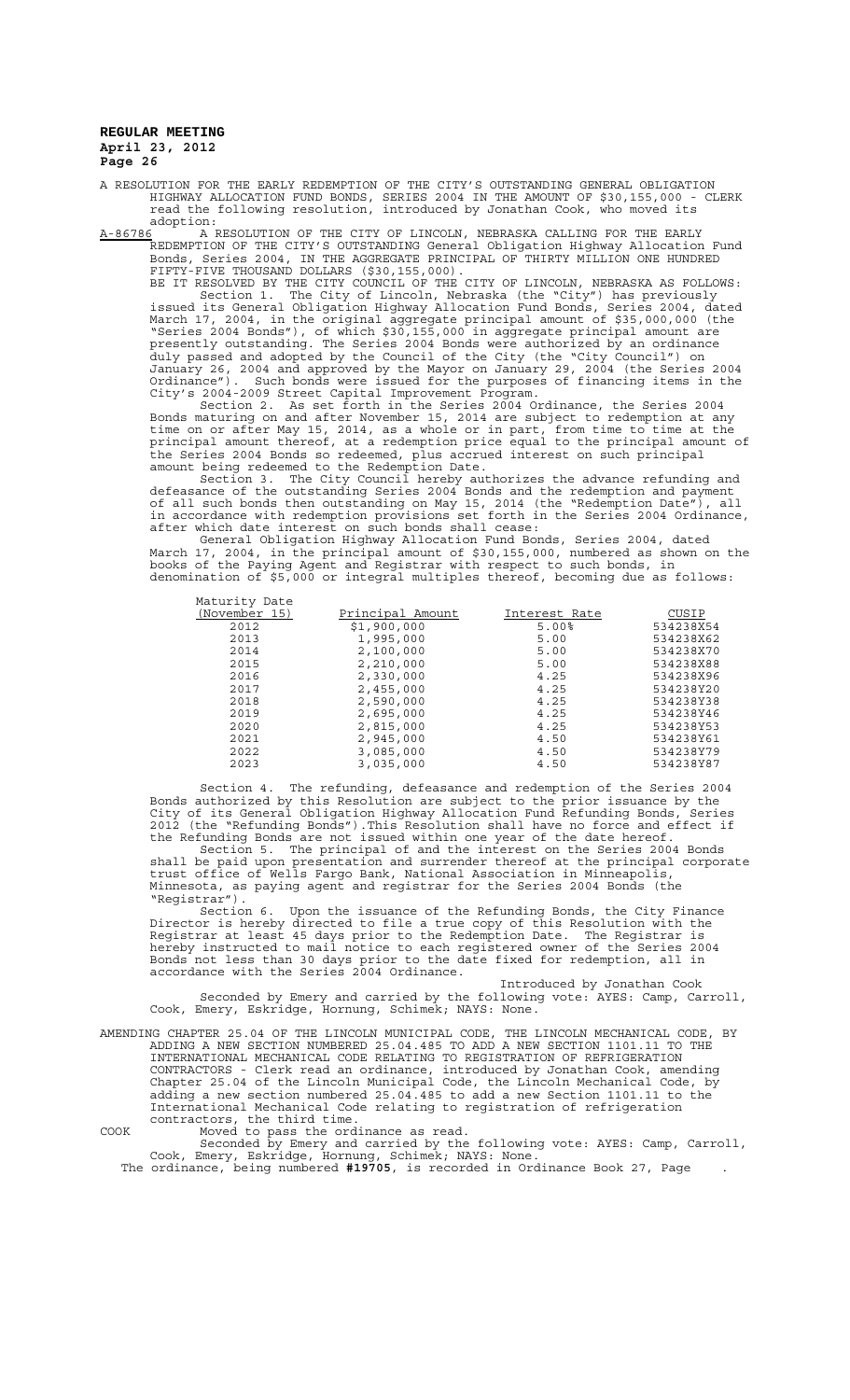A RESOLUTION FOR THE EARLY REDEMPTION OF THE CITY'S OUTSTANDING GENERAL OBLIGATION HIGHWAY ALLOCATION FUND BONDS, SERIES 2004 IN THE AMOUNT OF \$30,155,000 - CLERK read the following resolution, introduced by Jonathan Cook, who moved its

:adoption<br>A-86786 A A-86786 A RESOLUTION OF THE CITY OF LINCOLN, NEBRASKA CALLING FOR THE EARLY REDEMPTION OF THE CITY'S OUTSTANDING General Obligation Highway Allocation Fund Bonds, Series 2004, IN THE AGGREGATE PRINCIPAL OF THIRTY MILLION ONE HUNDRED FIFTY-FIVE THOUSAND DOLLARS (\$30,155,000).

BE IT RESOLVED BY THE CITY COUNCIL OF THE CITY OF LINCOLN, NEBRASKA AS FOLLOWS: Section 1. The City of Lincoln, Nebraska (the "City") has previously issued its General Obligation Highway Allocation Fund Bonds, Series 2004, dated March 17, 2004, in the original aggregate principal amount of \$35,000,000 (the "Series 2004 Bonds"), of which \$30,155,000 in aggregate principal amount are presently outstanding. The Series 2004 Bonds were authorized by an ordinance duly passed and adopted by the Council of the City (the "City Council") on January 26, 2004 and approved by the Mayor on January 29, 2004 (the Series 2004 Ordinance"). Such bonds were issued for the purposes of financing items in the City's 2004-2009 Street Capital Improvement Program.

Section 2. As set forth in the Series 2004 Ordinance, the Series 2004 Bonds maturing on and after November 15, 2014 are subject to redemption at any time on or after May 15, 2014, as a whole or in part, from time to time at the principal amount thereof, at a redemption price equal to the principal amount of the Series 2004 Bonds so redeemed, plus accrued interest on such principal amount being redeemed to the Redemption Date.

Section 3. The City Council hereby authorizes the advance refunding and defeasance of the outstanding Series 2004 Bonds and the redemption and payment of all such bonds then outstanding on May 15, 2014 (the "Redemption Date"), all in accordance with redemption provisions set forth in the Series 2004 Ordinance, after which date interest on such bonds shall cease:

General Obligation Highway Allocation Fund Bonds, Series 2004, dated March 17, 2004, in the principal amount of \$30,155,000, numbered as shown on the books of the Paying Agent and Registrar with respect to such bonds, in denomination of \$5,000 or integral multiples thereof, becoming due as follows:

| Maturity Date |                  |               |           |
|---------------|------------------|---------------|-----------|
| (November 15) | Principal Amount | Interest Rate | CUSIP     |
| 2012          | \$1,900,000      | $5.00\%$      | 534238X54 |
| 2013          | 1,995,000        | 5.00          | 534238X62 |
| 2014          | 2,100,000        | 5.00          | 534238X70 |
| 2015          | 2,210,000        | 5.00          | 534238X88 |
| 2016          | 2,330,000        | 4.25          | 534238X96 |
| 2017          | 2,455,000        | 4.25          | 534238Y20 |
| 2018          | 2,590,000        | 4.25          | 534238Y38 |
| 2019          | 2,695,000        | 4.25          | 534238Y46 |
| 2020          | 2,815,000        | 4.25          | 534238Y53 |
| 2021          | 2,945,000        | 4.50          | 534238Y61 |
| 2022          | 3,085,000        | 4.50          | 534238Y79 |
| 2023          | 3,035,000        | 4.50          | 534238Y87 |

Section 4. The refunding, defeasance and redemption of the Series 2004 Bonds authorized by this Resolution are subject to the prior issuance by the City of its General Obligation Highway Allocation Fund Refunding Bonds, Series 2012 (the "Refunding Bonds").This Resolution shall have no force and effect if the Refunding Bonds are not issued within one year of the date hereof. Section 5. The principal of and the interest on the Series 2004 Bonds shall be paid upon presentation and surrender thereof at the principal corporate trust office of Wells Fargo Bank, National Association in Minneapolis,

Minnesota, as paying agent and registrar for the Series 2004 Bonds (the "Registrar"). Section 6. Upon the issuance of the Refunding Bonds, the City Finance Director is hereby directed to file a true copy of this Resolution with the Registrar at least 45 days prior to the Redemption Date. The Registrar is

hereby instructed to mail notice to each registered owner of the Series 2004 Bonds not less than 30 days prior to the date fixed for redemption, all in accordance with the Series 2004 Ordinance.

Introduced by Jonathan Cook Seconded by Emery and carried by the following vote: AYES: Camp, Carroll, Cook, Emery, Eskridge, Hornung, Schimek; NAYS: None.

AMENDING CHAPTER 25.04 OF THE LINCOLN MUNICIPAL CODE, THE LINCOLN MECHANICAL CODE, BY ADDING A NEW SECTION NUMBERED 25.04.485 TO ADD A NEW SECTION 1101.11 TO THE INTERNATIONAL MECHANICAL CODE RELATING TO REGISTRATION OF REFRIGERATION CONTRACTORS - Clerk read an ordinance, introduced by Jonathan Cook, amending Chapter 25.04 of the Lincoln Municipal Code, the Lincoln Mechanical Code, by adding a new section numbered 25.04.485 to add a new Section 1101.11 to the International Mechanical Code relating to registration of refrigeration contractors, the third time.

COOK Moved to pass the ordinance as read.

Seconded by Emery and carried by the following vote: AYES: Camp, Carroll, Cook, Emery, Eskridge, Hornung, Schimek; NAYS: None. The ordinance, being numbered **#19705**, is recorded in Ordinance Book 27, Page .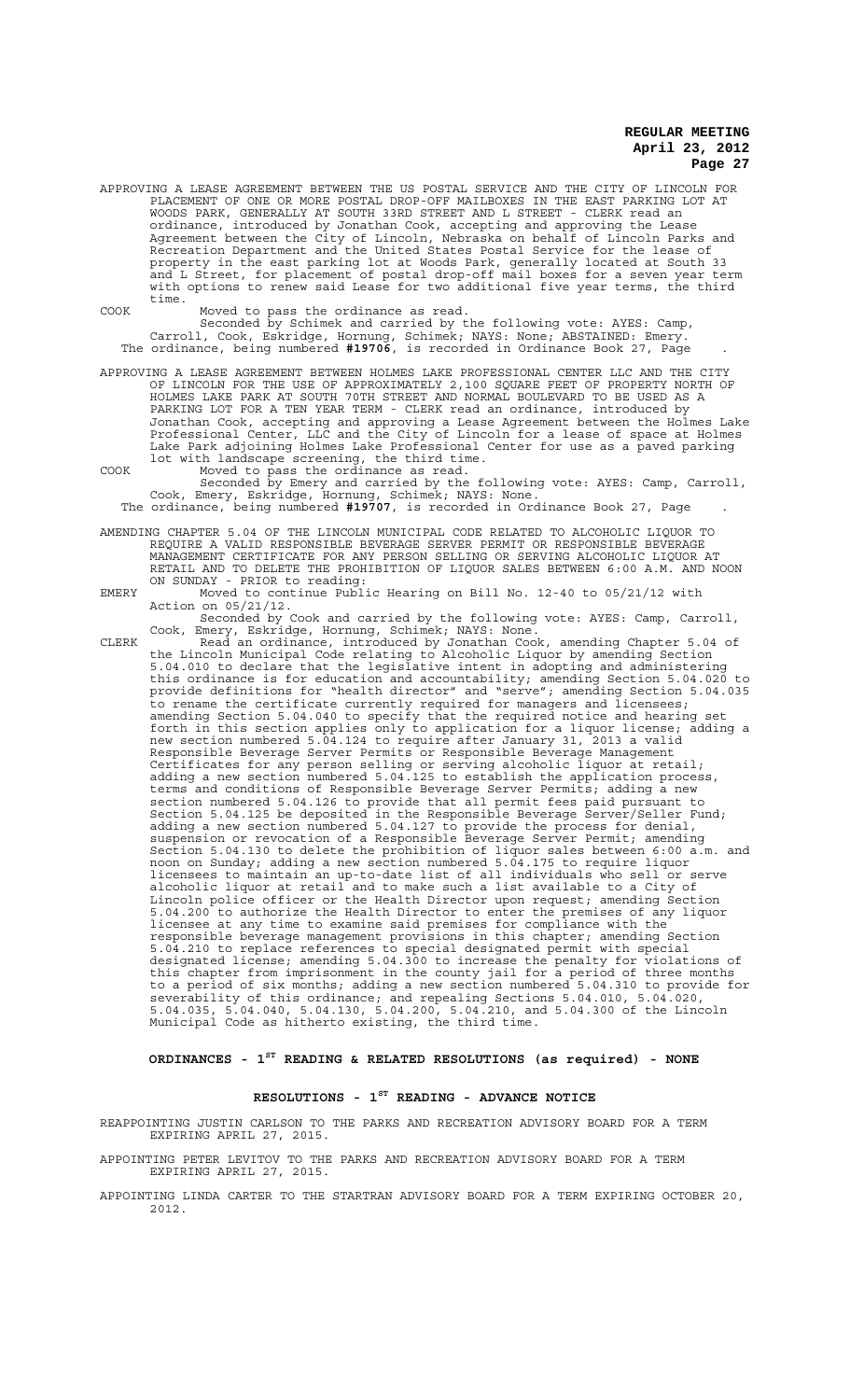APPROVING A LEASE AGREEMENT BETWEEN THE US POSTAL SERVICE AND THE CITY OF LINCOLN FOR PLACEMENT OF ONE OR MORE POSTAL DROP-OFF MAILBOXES IN THE EAST PARKING LOT AT WOODS PARK, GENERALLY AT SOUTH 33RD STREET AND L STREET - CLERK read an ordinance, introduced by Jonathan Cook, accepting and approving the Lease Agreement between the City of Lincoln, Nebraska on behalf of Lincoln Parks and Recreation Department and the United States Postal Service for the lease of property in the east parking lot at Woods Park, generally located at South 33 and L Street, for placement of postal drop-off mail boxes for a seven year term with options to renew said Lease for two additional five year terms, the third time.

COOK Moved to pass the ordinance as read. Seconded by Schimek and carried by the following vote: AYES: Camp, Carroll, Cook, Eskridge, Hornung, Schimek; NAYS: None; ABSTAINED: Emery. The ordinance, being numbered **#19706**, is recorded in Ordinance Book 27, Page .

APPROVING A LEASE AGREEMENT BETWEEN HOLMES LAKE PROFESSIONAL CENTER LLC AND THE CITY OF LINCOLN FOR THE USE OF APPROXIMATELY 2,100 SQUARE FEET OF PROPERTY NORTH OF HOLMES LAKE PARK AT SOUTH 70TH STREET AND NORMAL BOULEVARD TO BE USED AS A PARKING LOT FOR A TEN YEAR TERM - CLERK read an ordinance, introduced by Jonathan Cook, accepting and approving a Lease Agreement between the Holmes Lake Professional Center, LLC and the City of Lincoln for a lease of space at Holmes Lake Park adjoining Holmes Lake Professional Center for use as a paved parking lot with landscape screening, the third time. COOK Moved to pass the ordinance as read.

Seconded by Emery and carried by the following vote: AYES: Camp, Carroll, Cook, Emery, Eskridge, Hornung, Schimek; NAYS: None.

The ordinance, being numbered **#19707**, is recorded in Ordinance Book 27, Page .

AMENDING CHAPTER 5.04 OF THE LINCOLN MUNICIPAL CODE RELATED TO ALCOHOLIC LIQUOR TO REQUIRE A VALID RESPONSIBLE BEVERAGE SERVER PERMIT OR RESPONSIBLE BEVERAGE MANAGEMENT CERTIFICATE FOR ANY PERSON SELLING OR SERVING ALCOHOLIC LIQUOR AT RETAIL AND TO DELETE THE PROHIBITION OF LIQUOR SALES BETWEEN 6:00 A.M. AND NOON ON SUNDAY - PRIOR to reading:

EMERY Moved to continue Public Hearing on Bill No. 12-40 to 05/21/12 with Action on 05/21/12.

Seconded by Cook and carried by the following vote: AYES: Camp, Carroll, Cook, Emery, Eskridge, Hornung, Schimek; NAYS: None.

CLERK Read an ordinance, introduced by Jonathan Cook, amending Chapter 5.04 of the Lincoln Municipal Code relating to Alcoholic Liquor by amending Section 5.04.010 to declare that the legislative intent in adopting and administering this ordinance is for education and accountability; amending Section 5.04.020 to provide definitions for "health director" and "serve"; amending Section 5.04.035 to rename the certificate currently required for managers and licensees; amending Section 5.04.040 to specify that the required notice and hearing set forth in this section applies only to application for a liquor license; adding a new section numbered 5.04.124 to require after January 31, 2013 a valid Responsible Beverage Server Permits or Responsible Beverage Management Certificates for any person selling or serving alcoholic liquor at retail; adding a new section numbered 5.04.125 to establish the application process, terms and conditions of Responsible Beverage Server Permits; adding a new section numbered 5.04.126 to provide that all permit fees paid pursuant to Section 5.04.125 be deposited in the Responsible Beverage Server/Seller Fund; adding a new section numbered 5.04.127 to provide the process for denial, suspension or revocation of a Responsible Beverage Server Permit; amending Section 5.04.130 to delete the prohibition of liquor sales between 6:00 a.m. and noon on Sunday; adding a new section numbered 5.04.175 to require liquor licensees to maintain an up-to-date list of all individuals who sell or serve alcoholic liquor at retail and to make such a list available to a City of Lincoln police officer or the Health Director upon request; amending Section 5.04.200 to authorize the Health Director to enter the premises of any liquor licensee at any time to examine said premises for compliance with the responsible beverage management provisions in this chapter; amending Section 5.04.210 to replace references to special designated permit with special designated license; amending 5.04.300 to increase the penalty for violations of this chapter from imprisonment in the county jail for a period of three months to a period of six months; adding a new section numbered 5.04.310 to provide for severability of this ordinance; and repealing Sections 5.04.010, 5.04.020, 5.04.035, 5.04.040, 5.04.130, 5.04.200, 5.04.210, and 5.04.300 of the Lincoln Municipal Code as hitherto existing, the third time.

**ORDINANCES - 1ST READING & RELATED RESOLUTIONS (as required) - NONE**

# **RESOLUTIONS - 1ST READING - ADVANCE NOTICE**

REAPPOINTING JUSTIN CARLSON TO THE PARKS AND RECREATION ADVISORY BOARD FOR A TERM EXPIRING APRIL 27, 2015.

- APPOINTING PETER LEVITOV TO THE PARKS AND RECREATION ADVISORY BOARD FOR A TERM EXPIRING APRIL 27, 2015.
- APPOINTING LINDA CARTER TO THE STARTRAN ADVISORY BOARD FOR A TERM EXPIRING OCTOBER 20, 2012.